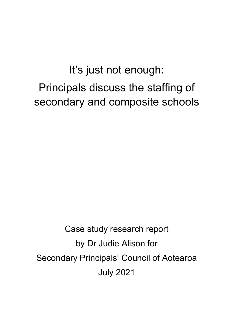# It's just not enough: Principals discuss the staffing of secondary and composite schools

Case study research report by Dr Judie Alison for Secondary Principals' Council of Aotearoa July 2021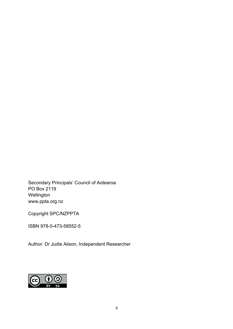Secondary Principals' Council of Aotearoa PO Box 2119 Wellington [www.ppta.org.nz](http://www.ppta.org.nz/)

Copyright SPC/NZPPTA

ISBN 978-0-473-58552-5

Author: Dr Judie Alison, Independent Researcher

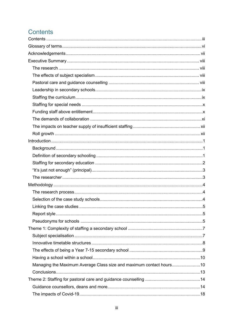# <span id="page-2-0"></span>Contents

| Managing the Maximum Average Class size and maximum contact hours10 |  |
|---------------------------------------------------------------------|--|
|                                                                     |  |
|                                                                     |  |
|                                                                     |  |
|                                                                     |  |
|                                                                     |  |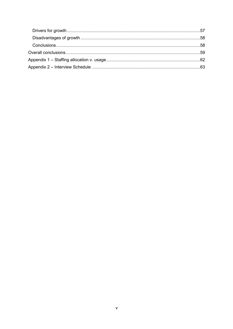| Overall conclusions…………………………………………………………………………………………59 |  |
|---------------------------------------------------------|--|
|                                                         |  |
|                                                         |  |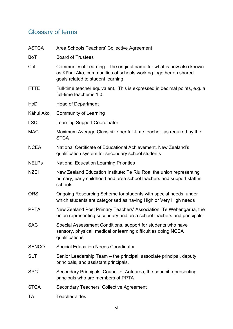# <span id="page-5-0"></span>Glossary of terms

| <b>ASTCA</b> | Area Schools Teachers' Collective Agreement                                                                                                                                  |
|--------------|------------------------------------------------------------------------------------------------------------------------------------------------------------------------------|
| BoT          | <b>Board of Trustees</b>                                                                                                                                                     |
| CoL          | Community of Learning. The original name for what is now also known<br>as Kāhui Ako, communities of schools working together on shared<br>goals related to student learning. |
| <b>FTTE</b>  | Full-time teacher equivalent. This is expressed in decimal points, e.g. a<br>full-time teacher is 1.0.                                                                       |
| HoD          | <b>Head of Department</b>                                                                                                                                                    |
| Kāhui Ako    | <b>Community of Learning</b>                                                                                                                                                 |
| <b>LSC</b>   | <b>Learning Support Coordinator</b>                                                                                                                                          |
| <b>MAC</b>   | Maximum Average Class size per full-time teacher, as required by the<br><b>STCA</b>                                                                                          |
| <b>NCEA</b>  | National Certificate of Educational Achievement, New Zealand's<br>qualification system for secondary school students                                                         |
| <b>NELPs</b> | <b>National Education Learning Priorities</b>                                                                                                                                |
| <b>NZEI</b>  | New Zealand Education Institute: Te Riu Roa, the union representing<br>primary, early childhood and area school teachers and support staff in<br>schools                     |
| <b>ORS</b>   | Ongoing Resourcing Scheme for students with special needs, under<br>which students are categorised as having High or Very High needs                                         |
| <b>PPTA</b>  | New Zealand Post Primary Teachers' Association: Te Wehengarua, the<br>union representing secondary and area school teachers and principals                                   |
| <b>SAC</b>   | Special Assessment Conditions, support for students who have<br>sensory, physical, medical or learning difficulties doing NCEA<br>qualifications                             |
| <b>SENCO</b> | <b>Special Education Needs Coordinator</b>                                                                                                                                   |
| <b>SLT</b>   | Senior Leadership Team - the principal, associate principal, deputy<br>principals, and assistant principals.                                                                 |
| <b>SPC</b>   | Secondary Principals' Council of Aotearoa, the council representing<br>principals who are members of PPTA                                                                    |
| <b>STCA</b>  | <b>Secondary Teachers' Collective Agreement</b>                                                                                                                              |
| TA           | Teacher aides                                                                                                                                                                |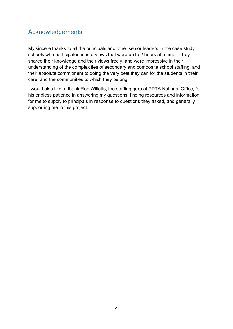## <span id="page-6-0"></span>Acknowledgements

My sincere thanks to all the principals and other senior leaders in the case study schools who participated in interviews that were up to 2 hours at a time. They shared their knowledge and their views freely, and were impressive in their understanding of the complexities of secondary and composite school staffing, and their absolute commitment to doing the very best they can for the students in their care, and the communities to which they belong.

I would also like to thank Rob Willetts, the staffing guru at PPTA National Office, for his endless patience in answering my questions, finding resources and information for me to supply to principals in response to questions they asked, and generally supporting me in this project.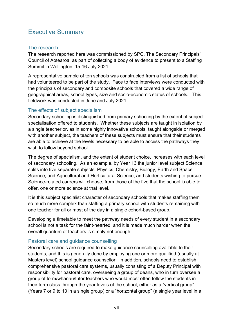# <span id="page-7-0"></span>Executive Summary

#### <span id="page-7-1"></span>The research

The research reported here was commissioned by SPC, The Secondary Principals' Council of Aotearoa, as part of collecting a body of evidence to present to a Staffing Summit in Wellington, 15-16 July 2021.

A representative sample of ten schools was constructed from a list of schools that had volunteered to be part of the study. Face to face interviews were conducted with the principals of secondary and composite schools that covered a wide range of geographical areas, school types, size and socio-economic status of schools. This fieldwork was conducted in June and July 2021.

#### <span id="page-7-2"></span>The effects of subject specialism

Secondary schooling is distinguished from primary schooling by the extent of subject specialisation offered to students. Whether these subjects are taught in isolation by a single teacher or, as in some highly innovative schools, taught alongside or merged with another subject, the teachers of these subjects must ensure that their students are able to achieve at the levels necessary to be able to access the pathways they wish to follow beyond school.

The degree of specialism, and the extent of student choice, increases with each level of secondary schooling. As an example, by Year 13 the junior level subject Science splits into five separate subjects: Physics, Chemistry, Biology, Earth and Space Science, and Agricultural and Horticultural Science, and students wishing to pursue Science-related careers will choose, from those of the five that the school is able to offer, one or more science at that level.

It is this subject specialist character of secondary schools that makes staffing them so much more complex than staffing a primary school with students remaining with one teacher for all or most of the day in a single cohort-based group.

Developing a timetable to meet the pathway needs of every student in a secondary school is not a task for the faint-hearted, and it is made much harder when the overall quantum of teachers is simply not enough.

#### <span id="page-7-3"></span>Pastoral care and guidance counselling

Secondary schools are required to make guidance counselling available to their students, and this is generally done by employing one or more qualified (usually at Masters level) school guidance counsellor. In addition, schools need to establish comprehensive pastoral care systems, usually consisting of a Deputy Principal with responsibility for pastoral care, overseeing a group of deans, who in turn oversee a group of form/whanau/tutor teachers who would most often follow the students in their form class through the year levels of the school, either as a "vertical group" (Years 7 or 9 to 13 in a single group) or a "horizontal group" (a single year level in a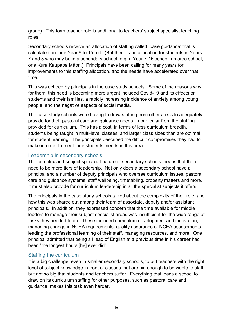group). This form teacher role is additional to teachers' subject specialist teaching roles.

Secondary schools receive an allocation of staffing called 'base guidance' that is calculated on their Year 9 to 15 roll. (But there is no allocation for students in Years 7 and 8 who may be in a secondary school, e.g. a Year 7-15 school, an area school, or a Kura Kaupapa Māori.) Principals have been calling for many years for improvements to this staffing allocation, and the needs have accelerated over that time.

This was echoed by principals in the case study schools. Some of the reasons why, for them, this need is becoming more urgent included Covid-19 and its effects on students and their families, a rapidly increasing incidence of anxiety among young people, and the negative aspects of social media.

The case study schools were having to draw staffing from other areas to adequately provide for their pastoral care and guidance needs, in particular from the staffing provided for curriculum. This has a cost, in terms of less curriculum breadth, students being taught in multi-level classes, and larger class sizes than are optimal for student learning. The principals described the difficult compromises they had to make in order to meet their students' needs in this area.

#### <span id="page-8-0"></span>Leadership in secondary schools

The complex and subject specialist nature of secondary schools means that there need to be more tiers of leadership. Not only does a secondary school have a principal and a number of deputy principals who oversee curriculum issues, pastoral care and guidance systems, staff wellbeing, timetabling, property matters and more. It must also provide for curriculum leadership in all the specialist subjects it offers.

The principals in the case study schools talked about the complexity of their role, and how this was shared out among their team of associate, deputy and/or assistant principals. In addition, they expressed concern that the time available for middle leaders to manage their subject specialist areas was insufficient for the wide range of tasks they needed to do. These included curriculum development and innovation, managing change in NCEA requirements, quality assurance of NCEA assessments, leading the professional learning of their staff, managing resources, and more. One principal admitted that being a Head of English at a previous time in his career had been "the longest hours [he] ever did".

#### <span id="page-8-1"></span>Staffing the curriculum

It is a big challenge, even in smaller secondary schools, to put teachers with the right level of subject knowledge in front of classes that are big enough to be viable to staff, but not so big that students and teachers suffer. Everything that leads a school to draw on its curriculum staffing for other purposes, such as pastoral care and guidance, makes this task even harder.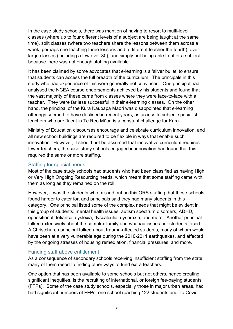In the case study schools, there was mention of having to resort to multi-level classes (where up to four different levels of a subject are being taught at the same time), split classes (where two teachers share the lessons between them across a week, perhaps one teaching three lessons and a different teacher the fourth), overlarge classes (including a few over 30), and simply not being able to offer a subject because there was not enough staffing available.

It has been claimed by some advocates that e-learning is a 'silver bullet' to ensure that students can access the full breadth of the curriculum. The principals in this study who had experience of this were generally not convinced. One principal had analysed the NCEA course endorsements achieved by his students and found that the vast majority of these came from classes where they were face-to-face with a teacher. They were far less successful in their e-learning classes. On the other hand, the principal of the Kura Kaupapa Māori was disappointed that e-learning offerings seemed to have declined in recent years, as access to subject specialist teachers who are fluent in Te Reo Māori is a constant challenge for Kura.

Ministry of Education discourses encourage and celebrate curriculum innovation, and all new school buildings are required to be flexible in ways that enable such innovation. However, it should not be assumed that innovative curriculum requires fewer teachers; the case study schools engaged in innovation had found that this required the same or more staffing.

#### <span id="page-9-0"></span>Staffing for special needs

Most of the case study schools had students who had been classified as having High or Very High Ongoing Resourcing needs, which meant that some staffing came with them as long as they remained on the roll.

However, it was the students who missed out on this ORS staffing that these schools found harder to cater for, and principals said they had many students in this category. One principal listed some of the complex needs that might be evident in this group of students: mental health issues, autism spectrum disorders, ADHD, oppositional defiance, dyslexia, dyscalculia, dyspraxia, and more. Another principal talked extensively about the complex family and whanau issues her students faced. A Christchurch principal talked about trauma-affected students, many of whom would have been at a very vulnerable age during the 2010-2011 earthquakes, and affected by the ongoing stresses of housing remediation, financial pressures, and more.

#### <span id="page-9-1"></span>Funding staff above entitlement

As a consequence of secondary schools receiving insufficient staffing from the state, many of them resort to finding other ways to fund extra teachers.

One option that has been available to some schools but not others, hence creating significant inequities, is the recruiting of international, or foreign fee-paying students (FFPs). Some of the case study schools, especially those in major urban areas, had had significant numbers of FFPs, one school reaching 122 students prior to Covid-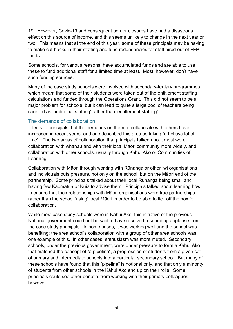19. However, Covid-19 and consequent border closures have had a disastrous effect on this source of income, and this seems unlikely to change in the next year or two. This means that at the end of this year, some of these principals may be having to make cut-backs in their staffing and fund redundancies for staff hired out of FFP funds.

Some schools, for various reasons, have accumulated funds and are able to use these to fund additional staff for a limited time at least. Most, however, don't have such funding sources.

Many of the case study schools were involved with secondary-tertiary programmes which meant that some of their students were taken out of the entitlement staffing calculations and funded through the Operations Grant. This did not seem to be a major problem for schools, but it can lead to quite a large pool of teachers being counted as 'additional staffing' rather than 'entitlement staffing'.

#### <span id="page-10-0"></span>The demands of collaboration

It feels to principals that the demands on them to collaborate with others have increased in recent years, and one described this area as taking "a helluva lot of time". The two areas of collaboration that principals talked about most were collaboration with whānau and with their local Māori community more widely, and collaboration with other schools, usually through Kāhui Ako or Communities of Learning.

Collaboration with Māori through working with Rūnanga or other Iwi organisations and individuals puts pressure, not only on the school, but on the Māori end of the partnership. Some principals talked about their local Rūnanga being small and having few Kaumātua or Kuia to advise them. Principals talked about learning how to ensure that their relationships with Māori organisations were true partnerships rather than the school 'using' local Māori in order to be able to tick off the box for collaboration.

While most case study schools were in Kāhui Ako, this initiative of the previous National government could not be said to have received resounding applause from the case study principals. In some cases, it was working well and the school was benefiting; the area school's collaboration with a group of other area schools was one example of this. In other cases, enthusiasm was more muted. Secondary schools, under the previous government, were under pressure to form a Kāhui Ako that matched the concept of "a pipeline", a progression of students from a given set of primary and intermediate schools into a particular secondary school. But many of these schools have found that this "pipeline" is notional only, and that only a minority of students from other schools in the Kāhui Ako end up on their rolls. Some principals could see other benefits from working with their primary colleagues, however.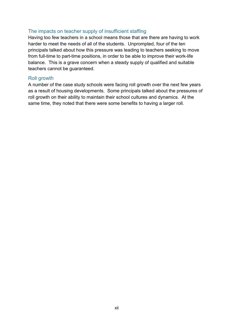#### <span id="page-11-0"></span>The impacts on teacher supply of insufficient staffing

Having too few teachers in a school means those that are there are having to work harder to meet the needs of all of the students. Unprompted, four of the ten principals talked about how this pressure was leading to teachers seeking to move from full-time to part-time positions, in order to be able to improve their work-life balance. This is a grave concern when a steady supply of qualified and suitable teachers cannot be guaranteed.

#### <span id="page-11-1"></span>Roll growth

A number of the case study schools were facing roll growth over the next few years as a result of housing developments. Some principals talked about the pressures of roll growth on their ability to maintain their school cultures and dynamics. At the same time, they noted that there were some benefits to having a larger roll.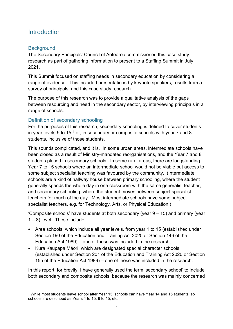## <span id="page-12-0"></span>**Introduction**

#### <span id="page-12-1"></span>**Background**

The Secondary Principals' Council of Aotearoa commissioned this case study research as part of gathering information to present to a Staffing Summit in July 2021.

This Summit focused on staffing needs in secondary education by considering a range of evidence. This included presentations by keynote speakers, results from a survey of principals, and this case study research.

The purpose of this research was to provide a qualitative analysis of the gaps between resourcing and need in the secondary sector, by interviewing principals in a range of schools.

## <span id="page-12-2"></span>Definition of secondary schooling

For the purposes of this research, secondary schooling is defined to cover students in year levels 9 to [1](#page-12-3)5,<sup>1</sup> or, in secondary or composite schools with year 7 and 8 students, inclusive of those students.

This sounds complicated, and it is. In some urban areas, intermediate schools have been closed as a result of Ministry-mandated reorganisations, and the Year 7 and 8 students placed in secondary schools. In some rural areas, there are longstanding Year 7 to 15 schools where an intermediate school would not be viable but access to some subject specialist teaching was favoured by the community. (Intermediate schools are a kind of halfway house between primary schooling, where the student generally spends the whole day in one classroom with the same generalist teacher, and secondary schooling, where the student moves between subject specialist teachers for much of the day. Most intermediate schools have some subject specialist teachers, e.g. for Technology, Arts, or Physical Education.)

'Composite schools' have students at both secondary (year 9 – 15) and primary (year 1 – 8) level. These include:

- Area schools, which include all year levels, from year 1 to 15 (established under Section 190 of the Education and Training Act 2020 or Section 146 of the Education Act 1989) – one of these was included in the research;
- Kura Kaupapa Māori, which are designated special character schools (established under Section 201 of the Education and Training Act 2020 or Section 155 of the Education Act 1989) – one of these was included in the research.

In this report, for brevity, I have generally used the term 'secondary school' to include both secondary and composite schools, because the research was mainly concerned

<span id="page-12-3"></span><sup>1</sup> While most students leave school after Year 13, schools can have Year 14 and 15 students, so schools are described as Years 1 to 15, 9 to 15, etc.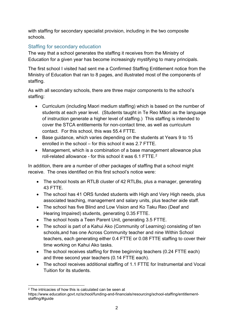with staffing for secondary specialist provision, including in the two composite schools.

## <span id="page-13-0"></span>Staffing for secondary education

The way that a school generates the staffing it receives from the Ministry of Education for a given year has become increasingly mystifying to many principals.

The first school I visited had sent me a Confirmed Staffing Entitlement notice from the Ministry of Education that ran to 8 pages, and illustrated most of the components of staffing.

As with all secondary schools, there are three major components to the school's staffing:

- Curriculum (including Maori medium staffing) which is based on the number of students at each year level. (Students taught in Te Reo Māori as the language of instruction generate a higher level of staffing.) This staffing is intended to cover the STCA entitlements for non-contact time, as well as curriculum contact. For this school, this was 55.4 FTTE.
- Base guidance, which varies depending on the students at Years 9 to 15 enrolled in the school – for this school it was 2.7 FTTE.
- Management, which is a combination of a base management allowance plus roll-related allowance - for this school it was 6.1 FTTE. [2](#page-13-1)

In addition, there are a number of other packages of staffing that a school might receive. The ones identified on this first school's notice were:

- The school hosts an RTLB cluster of 42 RTLBs, plus a manager, generating 43 FTTE.
- The school has 41 ORS funded students with High and Very High needs, plus associated teaching, management and salary units, plus teacher aide staff.
- The school has five Blind and Low Vision and Ko Taku Reo (Deaf and Hearing Impaired) students, generating 0.35 FTTE.
- The school hosts a Teen Parent Unit, generating 3.5 FTTE.
- The school is part of a Kahui Ako (Community of Learning) consisting of ten schools,and has one Across Community teacher and nine Within School teachers, each generating either 0.4 FTTE or 0.08 FTTE staffing to cover their time working on Kahui Ako tasks.
- The school receives staffing for three beginning teachers (0.24 FTTE each) and three second year teachers (0.14 FTTE each).
- The school receives additional staffing of 1.1 FTTE for Instrumental and Vocal Tuition for its students.

<span id="page-13-1"></span><sup>2</sup> The intricacies of how this is calculated can be seen at

https://www.education.govt.nz/school/funding-and-financials/resourcing/school-staffing/entitlementstaffing/#guide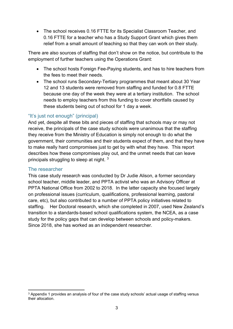• The school receives 0.16 FTTE for its Specialist Classroom Teacher, and 0.16 FTTE for a teacher who has a Study Support Grant which gives them relief from a small amount of teaching so that they can work on their study.

There are also sources of staffing that don't show on the notice, but contribute to the employment of further teachers using the Operations Grant:

- The school hosts Foreign Fee-Paying students, and has to hire teachers from the fees to meet their needs.
- The school runs Secondary-Tertiary programmes that meant about 30 Year 12 and 13 students were removed from staffing and funded for 0.8 FTTE because one day of the week they were at a tertiary institution. The school needs to employ teachers from this funding to cover shortfalls caused by these students being out of school for 1 day a week.

#### <span id="page-14-0"></span>"It's just not enough" (principal)

And yet, despite all these bits and pieces of staffing that schools may or may not receive, the principals of the case study schools were unanimous that the staffing they receive from the Ministry of Education is simply not enough to do what the government, their communities and their students expect of them, and that they have to make really hard compromises just to get by with what they have. This report describes how these compromises play out, and the unmet needs that can leave principals struggling to sleep at night. [3](#page-14-2)

#### <span id="page-14-1"></span>The researcher

This case study research was conducted by Dr Judie Alison, a former secondary school teacher, middle leader, and PPTA activist who was an Advisory Officer at PPTA National Office from 2002 to 2018. In the latter capacity she focused largely on professional issues (curriculum, qualifications, professional learning, pastoral care, etc), but also contributed to a number of PPTA policy initiatives related to staffing. Her Doctoral research, which she completed in 2007, used New Zealand's transition to a standards-based school qualifications system, the NCEA, as a case study for the policy gaps that can develop between schools and policy-makers. Since 2018, she has worked as an independent researcher.

<span id="page-14-2"></span><sup>3</sup> Appendix 1 provides an analysis of four of the case study schools' actual usage of staffing versus their allocation.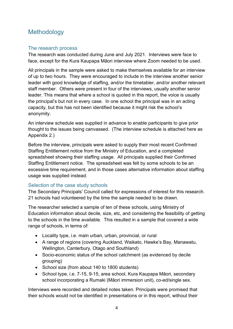# <span id="page-15-0"></span>**Methodology**

#### <span id="page-15-1"></span>The research process

The research was conducted during June and July 2021. Interviews were face to face, except for the Kura Kaupapa Māori interview where Zoom needed to be used.

All principals in the sample were asked to make themselves available for an interview of up to two hours. They were encouraged to include in the interview another senior leader with good knowledge of staffing, and/or the timetabler, and/or another relevant staff member. Others were present in four of the interviews, usually another senior leader. This means that where a school is quoted in this report, the voice is usually the principal's but not in every case. In one school the principal was in an acting capacity, but this has not been identified because it might risk the school's anonymity.

An interview schedule was supplied in advance to enable participants to give prior thought to the issues being canvassed. (The interview schedule is attached here as Appendix 2.)

Before the interview, principals were asked to supply their most recent Confirmed Staffing Entitlement notice from the Ministry of Education, and a completed spreadsheet showing their staffing usage. All principals supplied their Confirmed Staffing Entitlement notice. The spreadsheet was felt by some schools to be an excessive time requirement, and in those cases alternative information about staffing usage was supplied instead.

#### <span id="page-15-2"></span>Selection of the case study schools

The Secondary Principals' Council called for expressions of interest for this research. 21 schools had volunteered by the time the sample needed to be drawn.

The researcher selected a sample of ten of these schools, using Ministry of Education information about decile, size, etc, and considering the feasibility of getting to the schools in the time available. This resulted in a sample that covered a wide range of schools, in terms of:

- Locality type, i.e. main urban, urban, provincial, or rural
- A range of regions (covering Auckland, Waikato, Hawke's Bay, Manawatu, Wellington, Canterbury, Otago and Southland)
- Socio-economic status of the school catchment (as evidenced by decile grouping)
- School size (from about 140 to 1800 students)
- School type, i.e. 7-15, 9-15, area school, Kura Kaupapa Māori, secondary school incorporating a Rumaki (Māori immersion unit), co-ed/single sex.

Interviews were recorded and detailed notes taken. Principals were promised that their schools would not be identified in presentations or in this report, without their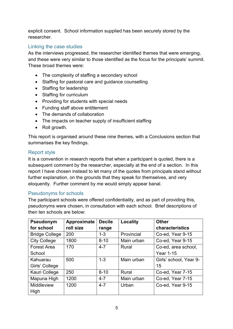explicit consent. School information supplied has been securely stored by the researcher.

#### <span id="page-16-0"></span>Linking the case studies

As the interviews progressed, the researcher identified themes that were emerging, and these were very similar to those identified as the focus for the principals' summit. These broad themes were:

- The complexity of staffing a secondary school
- Staffing for pastoral care and guidance counselling
- Staffing for leadership
- Staffing for curriculum
- Providing for students with special needs
- Funding staff above entitlement
- The demands of collaboration
- The impacts on teacher supply of insufficient staffing
- Roll growth.

This report is organised around these nine themes, with a Conclusions section that summarises the key findings.

#### <span id="page-16-1"></span>Report style

It is a convention in research reports that when a participant is quoted, there is a subsequent comment by the researcher, especially at the end of a section. In this report I have chosen instead to let many of the quotes from principals stand without further explanation, on the grounds that they speak for themselves, and very eloquently. Further comment by me would simply appear banal.

#### <span id="page-16-2"></span>Pseudonyms for schools

The participant schools were offered confidentiality, and as part of providing this, pseudonyms were chosen, in consultation with each school. Brief descriptions of then ten schools are below:

| Pseudonym             | Approximate | <b>Decile</b> | Locality   | <b>Other</b>           |
|-----------------------|-------------|---------------|------------|------------------------|
| for school            | roll size   | range         |            | characteristics        |
| <b>Bridge College</b> | 200         | $1 - 3$       | Provincial | Co-ed, Year 9-15       |
| <b>City College</b>   | 1800        | $8 - 10$      | Main urban | Co-ed, Year 9-15       |
| <b>Forest Area</b>    | 170         | $4 - 7$       | Rural      | Co-ed, area school,    |
| School                |             |               |            | <b>Year 1-15</b>       |
| Kahuarau              | 500         | $1 - 3$       | Main urban | Girls' school, Year 9- |
| Girls' College        |             |               |            | 15                     |
| Kauri College         | 250         | $8 - 10$      | Rural      | Co-ed, Year 7-15       |
| Mapuna High           | 1200        | $4 - 7$       | Main urban | Co-ed, Year 7-15       |
| Middleview            | 1200        | $4 - 7$       | Urban      | Co-ed, Year 9-15       |
| High                  |             |               |            |                        |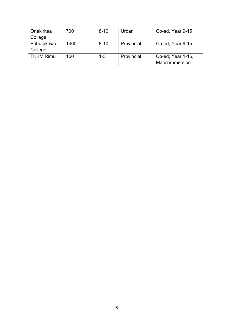| Onekiritea       | 700  | $8 - 10$ | Urban      | Co-ed, Year 9-15       |
|------------------|------|----------|------------|------------------------|
| College          |      |          |            |                        |
| Pōhutukawa       | 1400 | $8 - 10$ | Provincial | Co-ed, Year 9-15       |
| College          |      |          |            |                        |
| <b>TKKM Rimu</b> | 150  | $1 - 3$  | Provincial | Co-ed, Year 1-15,      |
|                  |      |          |            | <b>Maori immersion</b> |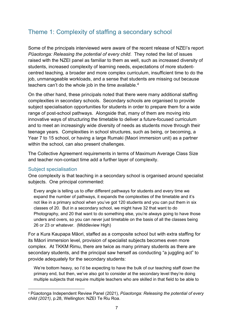# <span id="page-18-0"></span>Theme 1: Complexity of staffing a secondary school

Some of the principals interviewed were aware of the recent release of NZEI's report *Pūaotonga: Releasing the potential of every child*. They noted the list of issues raised with the NZEI panel as familiar to them as well, such as increased diversity of students, increased complexity of learning needs, expectations of more studentcentred teaching, a broader and more complex curriculum, insufficient time to do the job, unmanageable workloads, and a sense that students are missing out because teachers can't do the whole job in the time available.<sup>[4](#page-18-2)</sup>

On the other hand, these principals noted that there were many additional staffing complexities in secondary schools. Secondary schools are organised to provide subject specialisation opportunities for students in order to prepare them for a wide range of post-school pathways. Alongside that, many of them are moving into innovative ways of structuring the timetable to deliver a future-focused curriculum and to meet an increasingly wide diversity of needs as students move through their teenage years. Complexities in school structures, such as being, or becoming, a Year 7 to 15 school, or having a large Rumaki (Maori immersion unit) as a partner within the school, can also present challenges.

The Collective Agreement requirements in terms of Maximum Average Class Size and teacher non-contact time add a further layer of complexity.

#### <span id="page-18-1"></span>Subject specialisation

One complexity is that teaching in a secondary school is organised around specialist subjects. One principal commented:

Every angle is telling us to offer different pathways for students and every time we expand the number of pathways, it expands the complexities of the timetable and it's not like in a primary school when you've got 120 students and you can put them in six classes of 20. But in a secondary school, we might have 32 that want to do Photography, and 20 that want to do something else, you're always going to have those unders and overs, so you can never just timetable on the basis of all the classes being 26 or 23 or whatever. (Middleview High)

For a Kura Kaupapa Māori, staffed as a composite school but with extra staffing for its Māori immersion level, provision of specialist subjects becomes even more complex. At TKKM Rimu, there are twice as many primary students as there are secondary students, and the principal saw herself as conducting "a juggling act" to provide adequately for the secondary students:

We're bottom heavy, so I'd be expecting to have the bulk of our teaching staff down the primary end, but then, we've also got to consider at the secondary level they're doing multiple subjects that require multiple teachers who are skilled in that field to be able to

<span id="page-18-2"></span><sup>4</sup> Pūaotonga Independent Review Panel (2021), *Pūaotonga: Releasing the potential of every child (2021)*, p.28, Wellington: NZEI Te Riu Roa.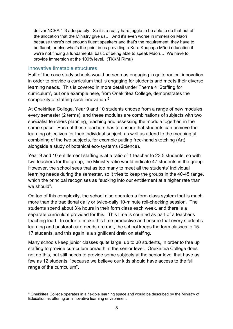deliver NCEA 1-3 adequately. So it's a really hard juggle to be able to do that out of the allocation that the Ministry give us… And it's even worse in immersion Māori because there's not enough fluent speakers and that's the requirement, they have to be fluent, or else what's the point in us providing a Kura Kaupapa Māori education if we're not finding a fundamental basic of being able to speak Māori… We have to provide immersion at the 100% level. (TKKM Rimu)

#### <span id="page-19-0"></span>Innovative timetable structures

Half of the case study schools would be seen as engaging in quite radical innovation in order to provide a curriculum that is engaging for students and meets their diverse learning needs. This is covered in more detail under Theme 4 'Staffing for curriculum', but one example here, from Onekiritea College, demonstrates the complexity of staffing such innovation. [5](#page-19-1)

At Onekiritea College, Year 9 and 10 students choose from a range of new modules every semester (2 terms), and these modules are combinations of subjects with two specialist teachers planning, teaching and assessing the module together, in the same space. Each of these teachers has to ensure that students can achieve the learning objectives for their individual subject, as well as attend to the meaningful combining of the two subjects, for example putting free-hand sketching (Art) alongside a study of botanical eco-systems (Science).

Year 9 and 10 entitlement staffing is at a ratio of 1 teacher to 23.5 students, so with two teachers for the group, the Ministry ratio would indicate 47 students in the group. However, the school sees that as too many to meet all the students' individual learning needs during the semester, so it tries to keep the groups in the 40-45 range, which the principal recognises as "sucking into our entitlement at a higher rate than we should"

On top of this complexity, the school also operates a form class system that is much more than the traditional daily or twice-daily 10-minute roll-checking session. The students spend about 3½ hours in their form class each week, and there is a separate curriculum provided for this. This time is counted as part of a teacher's teaching load. In order to make this time productive and ensure that every student's learning and pastoral care needs are met, the school keeps the form classes to 15- 17 students, and this again is a significant drain on staffing.

Many schools keep junior classes quite large, up to 30 students, in order to free up staffing to provide curriculum breadth at the senior level. Onekiritea College does not do this, but still needs to provide some subjects at the senior level that have as few as 12 students, "because we believe our kids should have access to the full range of the curriculum".

<span id="page-19-1"></span><sup>5</sup> Onekiritea College operates in a flexible learning space and would be described by the Ministry of Education as offering an innovative learning environment.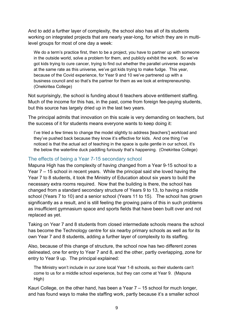And to add a further layer of complexity, the school also has all of its students working on integrated projects that are nearly year-long, for which they are in multilevel groups for most of one day a week:

We do a term's practice first, then to be a project, you have to partner up with someone in the outside world, solve a problem for them, and publicly exhibit the work. So we've got kids trying to cure cancer, trying to find out whether the parallel universe expands at the same rate as this universe, we've got kids trying to make fudge. This year, because of the Covid experience, for Year 9 and 10 we've partnered up with a business council and so that's the partner for them as we look at entrepreneurship. (Onekiritea College)

Not surprisingly, the school is funding about 6 teachers above entitlement staffing. Much of the income for this has, in the past, come from foreign fee-paying students, but this source has largely dried up in the last two years.

The principal admits that innovation on this scale is very demanding on teachers, but the success of it for students means everyone wants to keep doing it:

I've tried a few times to change the model slightly to address [teachers'] workload and they've pushed back because they know it's effective for kids. And one thing I've noticed is that the actual act of teaching in the space is quite gentle in our school, it's the below the waterline duck paddling furiously that's happening. (Onekiritea College)

#### <span id="page-20-0"></span>The effects of being a Year 7-15 secondary school

Mapuna High has the complexity of having changed from a Year 9-15 school to a Year 7 – 15 school in recent years. While the principal said she loved having the Year 7 to 8 students, it took the Ministry of Education about six years to build the necessary extra rooms required. Now that the building is there, the school has changed from a standard secondary structure of Years 9 to 13, to having a middle school (Years 7 to 10) and a senior school (Years 11 to 15). The school has grown significantly as a result, and is still feeling the growing pains of this in such problems as insufficient gymnasium space and sports fields that have been built over and not replaced as yet.

Taking on Year 7 and 8 students from closed intermediate schools means the school has become the Technology centre for six nearby primary schools as well as for its own Year 7 and 8 students, adding a further layer of complexity to its staffing.

Also, because of this change of structure, the school now has two different zones delineated, one for entry to Year 7 and 8, and the other, partly overlapping, zone for entry to Year 9 up. The principal explained:

The Ministry won't include in our zone local Year 1-8 schools, so their students can't come to us for a middle school experience, but they can come at Year 9. (Mapuna High)

Kauri College, on the other hand, has been a Year 7 – 15 school for much longer, and has found ways to make the staffing work, partly because it's a smaller school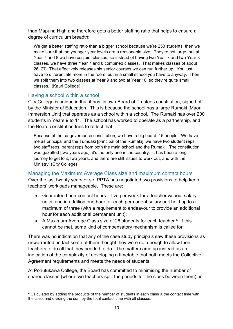than Mapuna High and therefore gets a better staffing ratio that helps to ensure a degree of curriculum breadth:

We get a better staffing ratio than a bigger school because we're 250 students, then we make sure that the younger year levels are a reasonable size. They're not large, but at Year 7 and 8 we have conjoint classes, so instead of having two Year 7 and two Year 8 classes, we have three Year 7 and 8 combined classes. That makes classes of about 26, 27. That effectively releases six senior courses we can run further up. You just have to differentiate more in the room, but in a small school you have to anyway. Then we split them into two classes at Year 9 and two at Year 10, so they're quite small classes. (Kauri College)

#### <span id="page-21-0"></span>Having a school within a school

City College is unique in that it has its own Board of Trustees constitution, signed off by the Minister of Education. This is because the school has a large Rumaki [Maori Immersion Unit] that operates as a school within a school. The Rumaki has over 200 students in Years 9 to 11. The school has worked to operate as a partnership, and the Board constitution tries to reflect that:

Because of the co-governance constitution, we have a big board, 15 people. We have me as principal and the Tumuaki [principal of the Rumaki], we have two student reps, two staff reps, parent reps from both the main school and the Rumaki. The constitution was gazetted [two years ago], it's the only one in the country. It has been a long journey to get to it, two years, and there are still issues to work out, and with the Ministry. (City College)

<span id="page-21-1"></span>Managing the Maximum Average Class size and maximum contact hours Over the last twenty years or so, PPTA has negotiated two provisions to help keep teachers' workloads manageable. These are:

- Guaranteed non-contact hours five per week for a teacher without salary units, and in addition one hour for each permanent salary unit held up to a maximum of three (with a requirement to endeavour to provide an additional hour for each additional permanent unit);
- A Maximum Average Class size of 2[6](#page-21-2) students for each teacher.<sup>6</sup> If this cannot be met, some kind of compensatory mechanism is called for.

There was no indication that any of the case study principals saw these provisions as unwarranted, in fact some of them thought they were not enough to allow their teachers to do all that they needed to do. The matter came up instead as an indication of the complexity of developing a timetable that both meets the Collective Agreement requirements and meets the needs of students.

At Pōhutukawa College, the Board has committed to minimising the number of shared classes (where two teachers split the periods for the class between them), in

<span id="page-21-2"></span> $6$  Calculated by adding the products of the number of students in each class X the contact time with the class and dividing the sum by the total contact time with all classes.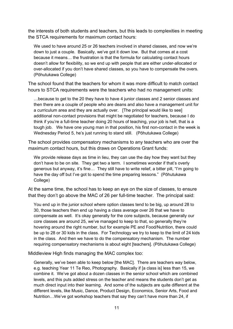the interests of both students and teachers, but this leads to complexities in meeting the STCA requirements for maximum contact hours:

We used to have around 25 or 26 teachers involved in shared classes, and now we're down to just a couple. Basically, we've got it down low. But that comes at a cost because it means… the frustration is that the formula for calculating contact hours doesn't allow for flexibility, so we end up with people that are either under-allocated or over-allocated if you don't have shared classes, so you have to compensate the overs. (Pōhutukawa College)

The school found that the teachers for whom it was more difficult to match contact hours to STCA requirements were the teachers who had no management units:

…because to get to the 20 they have to have 4 junior classes and 2 senior classes and then there are a couple of people who are deans and also have a management unit for a curriculum area and they are actually over. [The principal would like to see] additional non-contact provisions that might be negotiated for teachers, because I do think if you're a full-time teacher doing 20 hours of teaching, your job is hell, that is a tough job. We have one young man in that position, his first non-contact in the week is Wednesday Period 5, he's just running to stand still. (Pōhutukawa College)

The school provides compensatory mechanisms to any teachers who are over the maximum contact hours, but this draws on Operations Grant funds:

We provide release days as time in lieu, they can use the day how they want but they don't have to be on site. They get two a term. I sometimes wonder if that's overly generous but anyway, it's fine… They still have to write relief, a bitter pill, "I'm going to have the day off but I've got to spend the time preparing lessons." (Pōhutukawa College)

At the same time, the school has to keep an eye on the size of classes, to ensure that they don't go above the MAC of 26 per full-time teacher. The principal said:

You end up in the junior school where option classes tend to be big, up around 28 to 30, those teachers then end up having a class average over 26 that we have to compensate as well. It's okay generally for the core subjects, because generally our core classes are around 25, we've managed to keep to that, so generally they're hovering around the right number, but for example PE and Food/Nutrition, there could be up to 28 or 30 kids in the class. For Technology we try to keep to the limit of 24 kids in the class. And then we have to do the compensatory mechanism. The number requiring compensatory mechanisms is about eight [teachers]. (Pōhutukawa College)

Middleview High finds managing the MAC complex too:

Generally, we've been able to keep below [the MAC]. There are teachers way below, e.g. teaching Year 11 Te Reo, Photography. Basically if [a class is] less than 15, we combine it. We've got about a dozen classes in the senior school which are combined levels, and this puts added stress on the teacher and means the students don't get as much direct input into their learning. And some of the subjects are quite different at the different levels, like Music, Dance, Product Design, Economics, Senior Arts, Food and Nutrition…We've got workshop teachers that say they can't have more than 24, if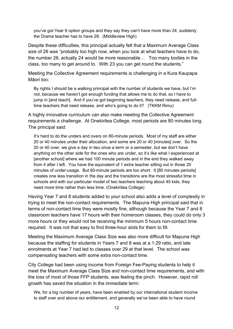you've got Year 9 option groups and they say they can't have more than 24, suddenly the Drama teacher has to have 28. (Middleview High)

Despite these difficulties, this principal actually felt that a Maximum Average Class size of 26 was "probably too high now, when you look at what teachers have to do, the number 26, actually 24 would be more reasonable… Too many bodies in the class, too many to get around to. With 23 you can get round the students."

Meeting the Collective Agreement requirements is challenging in a Kura Kaupapa Māori too:

By rights I should be a walking principal with the number of students we have, but I'm not, because we haven't got enough funding that allows me to do that, so I have to jump in [and teach]. And if you've got beginning teachers, they need release, and fulltime teachers that need release, and who's going to do it? (TKKM Rimu)

A highly innovative curriculum can also make meeting the Collective Agreement requirements a challenge. At Onekiritea College, most periods are 80 minutes long. The principal said:

It's hard to do the unders and overs on 80-minute periods. Most of my staff are either 20 or 40 minutes under their allocation, and some are 20 or 40 [minutes] over. So the 20 or 40 over, we give a day in lieu once a term or a semester, but we don't have anything on the other side for the ones who are under, so it's like what I experienced at [another school] where we had 100 minute periods and in the end they walked away from it after I left. You have the equivalent of 1 extra teacher sitting out in those 20 minutes of under-usage. But 60-minute periods are too short. It [80 minutes periods] creates one less transition in the day and the transitions are the most stressful time in schools and with our particular model of two teachers teaching about 45 kids, they need more time rather than less time. (Onekiritea College)

Having Year 7 and 8 students added to your school also adds a level of complexity in trying to meet the non-contact requirements. The Mapuna High principal said that in terms of non-contact time they were mostly fine, although because the Year 7 and 8 classroom teachers have 17 hours with their homeroom classes, they could do only 3 more hours or they would not be receiving the minimum 5 hours non-contact time required. It was not that easy to find three-hour slots for them to fill.

Meeting the Maximum Average Class Size was also more difficult for Mapuna High because the staffing for students in Years 7 and 8 was at a 1:29 ratio, and late enrolments at Year 7 had led to classes over 29 at that level. The school was compensating teachers with some extra non-contact time.

City College had been using income from Foreign Fee-Paying students to help it meet the Maximum Average Class Size and non-contact time requirements, and with the loss of most of those FFP students, was feeling the pinch. However, rapid roll growth has saved the situation in the immediate term:

We, for a big number of years, have been enabled by our international student income to staff over and above our entitlement, and generally we've been able to have round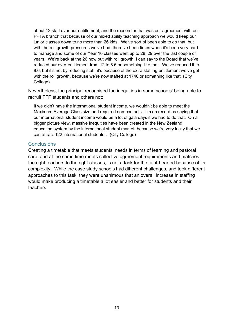about 12 staff over our entitlement, and the reason for that was our agreement with our PPTA branch that because of our mixed ability teaching approach we would keep our junior classes down to no more than 26 kids. We've sort of been able to do that, but with the roll growth pressures we've had, there've been times when it's been very hard to manage and some of our Year 10 classes went up to 28, 29 over the last couple of years. We're back at the 26 now but with roll growth, I can say to the Board that we've reduced our over-entitlement from 12 to 8.6 or something like that. We've reduced it to 8.6, but it's not by reducing staff, it's because of the extra staffing entitlement we've got with the roll growth, because we're now staffed at 1740 or something like that. (City College)

Nevertheless, the principal recognised the inequities in some schools' being able to recruit FFP students and others not:

If we didn't have the international student income, we wouldn't be able to meet the Maximum Average Class size and required non-contacts. I'm on record as saying that our international student income would be a lot of gala days if we had to do that. On a bigger picture view, massive inequities have been created in the New Zealand education system by the international student market, because we're very lucky that we can attract 122 international students… (City College)

#### <span id="page-24-0"></span>**Conclusions**

Creating a timetable that meets students' needs in terms of learning and pastoral care, and at the same time meets collective agreement requirements and matches the right teachers to the right classes, is not a task for the faint-hearted because of its complexity. While the case study schools had different challenges, and took different approaches to this task, they were unanimous that an overall increase in staffing would make producing a timetable a lot easier and better for students and their teachers.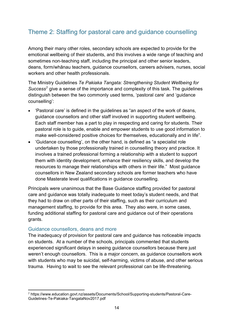# <span id="page-25-0"></span>Theme 2: Staffing for pastoral care and guidance counselling

Among their many other roles, secondary schools are expected to provide for the emotional wellbeing of their students, and this involves a wide range of teaching and sometimes non-teaching staff, including the principal and other senior leaders, deans, form/whānau teachers, guidance counsellors, careers advisers, nurses, social workers and other health professionals.

The Ministry Guidelines *Te Pakiaka Tangata: Strengthening Student Wellbeing for Success*[7](#page-25-2) give a sense of the importance and complexity of this task. The guidelines distinguish between the two commonly used terms, 'pastoral care' and 'guidance counselling':

- 'Pastoral care' is defined in the guidelines as "an aspect of the work of deans, guidance counsellors and other staff involved in supporting student wellbeing. Each staff member has a part to play in respecting and caring for students. Their pastoral role is to guide, enable and empower students to use good information to make well-considered positive choices for themselves, educationally and in life".
- 'Guidance counselling', on the other hand, is defined as "a specialist role undertaken by those professionally trained in counselling theory and practice. It involves a trained professional forming a relationship with a student to support them with identity development, enhance their resiliency skills, and develop the resources to manage their relationships with others in their life." Most guidance counsellors in New Zealand secondary schools are former teachers who have done Masterate level qualifications in guidance counselling.

Principals were unanimous that the Base Guidance staffing provided for pastoral care and guidance was totally inadequate to meet today's student needs, and that they had to draw on other parts of their staffing, such as their curriculum and management staffing, to provide for this area. They also were, in some cases, funding additional staffing for pastoral care and guidance out of their operations grants.

#### <span id="page-25-1"></span>Guidance counsellors, deans and more

The inadequacy of provision for pastoral care and guidance has noticeable impacts on students. At a number of the schools, principals commented that students experienced significant delays in seeing guidance counsellors because there just weren't enough counsellors. This is a major concern, as guidance counsellors work with students who may be suicidal, self-harming, victims of abuse, and other serious trauma. Having to wait to see the relevant professional can be life-threatening.

<span id="page-25-2"></span><sup>7</sup> https://www.education.govt.nz/assets/Documents/School/Supporting-students/Pastoral-Care-Guidelines-Te-Pakiaka-TangataNov2017.pdf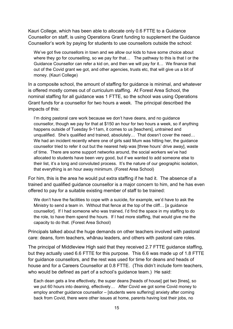Kauri College, which has been able to allocate only 0.6 FTTE to a Guidance Counsellor on staff, is using Operations Grant funding to supplement the Guidance Counsellor's work by paying for students to use counsellors outside the school:

We've got five counsellors in town and we allow our kids to have some choice about where they go for counselling, so we pay for that... The pathway to this is that I or the Guidance Counsellor can refer a kid on, and then we will pay for it… We finance that out of the Covid grant we got, and other agencies, trusts etc, that will give us a bit of money. (Kauri College)

In a composite school, the amount of staffing for guidance is minimal, and whatever is offered mostly comes out of curriculum staffing. At Forest Area School, the nominal staffing for all guidance was 1 FTTE, so the school was using Operations Grant funds for a counsellor for two hours a week. The principal described the impacts of this:

I'm doing pastoral care work because we don't have deans, and no guidance counsellor, though we pay for that at \$150 an hour for two hours a week, so if anything happens outside of Tuesday 9-11am, it comes to us [teachers], untrained and unqualified. She's qualified and trained, absolutely… That doesn't cover the need… We had an incident recently where one of girls said Mum was hitting her, the guidance counsellor tried to refer it out but the nearest help was [three hours' drive away], waste of time. There are some support networks around, the social workers we've had allocated to students have been very good, but if we wanted to add someone else to their list, it's a long and convoluted process. It's the nature of our geographic isolation, that everything is an hour away minimum. (Forest Area School)

For him, this is the area he would put extra staffing if he had it. The absence of a trained and qualified guidance counsellor is a major concern to him, and he has even offered to pay for a suitable existing member of staff to be trained:

We don't have the facilities to cope with a suicide, for example, we'd have to ask the Ministry to send a team in. Without that fence at the top of the cliff… [a guidance counsellor]. If I had someone who was trained, I'd find the space in my staffing to do the role, to have them spend the hours. If I had more staffing, that would give me the capacity to do that. (Forest Area School)

Principals talked about the huge demands on other teachers involved with pastoral care: deans, form teachers, whānau leaders, and others with pastoral care roles.

The principal of Middleview High said that they received 2.7 FTTE guidance staffing, but they actually used 6.6 FTTE for this purpose. This 6.6 was made up of 1.8 FTTE for guidance counsellors, and the rest was used for time for deans and heads of house and for a Careers Counsellor at 0.8 FTTE. (This didn't include form teachers, who would be defined as part of a school's guidance team.) He said:

Each dean gets a line effectively, the super deans [heads of house] get two [lines], so we put 60 hours into deaning, effectively… After Covid we got some Covid money to employ another guidance counsellor – [students were suffering] anxiety after coming back from Covid, there were other issues at home, parents having lost their jobs, no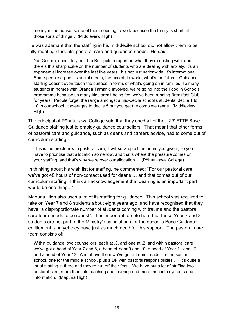money in the house, some of them needing to work because the family is short, all those sorts of things… (Middleview High)

He was adamant that the staffing in his mid-decile school did not allow them to be fully meeting students' pastoral care and guidance needs. He said:

No, God no, absolutely not, the BoT gets a report on what they're dealing with, and there's this sharp spike on the number of students who are dealing with anxiety, it's an exponential increase over the last five years. It's not just nationwide, it's international. Some people argue it's social media, the uncertain world, what's the future. Guidance staffing doesn't even touch the surface in terms of what's going on in families, so many students in homes with Oranga Tamariki involved, we're going into the Food in Schools programme because so many kids aren't being fed, we've been running Breakfast Club for years. People forget the range amongst a mid-decile school's students, decile 1 to 10 in our school, it averages to decile 5 but you get the complete range. (Middleview High)

The principal of Pōhutukawa College said that they used all of their 2.7 FTTE Base Guidance staffing just to employ guidance counsellors. That meant that other forms of pastoral care and guidance, such as deans and careers advice, had to come out of curriculum staffing:

This is the problem with pastoral care, it will suck up all the hours you give it, so you have to prioritise that allocation somehow, and that's where the pressure comes on your staffing, and that's why we're over our allocation… (Pōhutukawa College)

In thinking about his wish list for staffing, he commented: "For our pastoral care, we've got 48 hours of non-contact used for deans … and that comes out of our curriculum staffing. I think an acknowledgement that deaning is an important part would be one thing..."

Mapuna High also uses a lot of its staffing for guidance. This school was required to take on Year 7 and 8 students about eight years ago, and have recognised that they have "a disproportionate number of students coming with trauma and the pastoral care team needs to be robust". It is important to note here that these Year 7 and 8 students are not part of the Ministry's calculations for the school's Base Guidance entitlement, and yet they have just as much need for this support. The pastoral care team consists of:

Within guidance, two counsellors, each at .8, and one at .2, and within pastoral care we've got a head of Year 7 and 8, a head of Year 9 and 10, a head of Year 11 and 12, and a head of Year 13. And above them we've got a Team Leader for the senior school, one for the middle school, plus a DP with pastoral responsibilities... It's quite a lot of staffing in there and they're run off their feet. We have put a lot of staffing into pastoral care, more than into teaching and learning and more than into systems and information. (Mapuna High)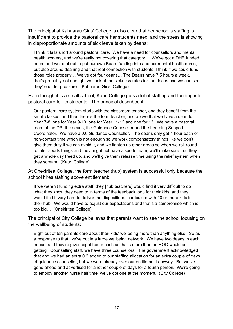The principal at Kahuarau Girls' College is also clear that her school's staffing is insufficient to provide the pastoral care her students need, and the stress is showing in disproportionate amounts of sick leave taken by deans:

I think it falls short around pastoral care. We have a need for counsellors and mental health workers, and we're really not covering that category… We've got a DHB funded nurse and we're about to put our own Board funding into another mental health nurse, but also around deaning and that real connection with students, I think if we could fund those roles properly… We've got four deans… The Deans have 7.5 hours a week, that's probably not enough, we look at the sickness rates for the deans and we can see they're under pressure. (Kahuarau Girls' College)

Even though it is a small school, Kauri College puts a lot of staffing and funding into pastoral care for its students. The principal described it:

Our pastoral care system starts with the classroom teacher, and they benefit from the small classes, and then there's the form teacher, and above that we have a dean for Year 7-8, one for Year 9-10, one for Year 11-12 and one for 13. We have a pastoral team of the DP, the deans, the Guidance Counsellor and the Learning Support Coordinator. We have a 0.6 Guidance Counsellor. The deans only get 1 hour each of non-contact time which is not enough so we work compensatory things like we don't give them duty if we can avoid it, and we lighten up other areas so when we roll round to inter-sports things and they might not have a sports team, we'll make sure that they get a whole day freed up, and we'll give them release time using the relief system when they scream. (Kauri College)

At Onekiritea College, the form teacher (hub) system is successful only because the school hires staffing above entitlement:

If we weren't funding extra staff, they [hub teachers] would find it very difficult to do what they know they need to in terms of the feedback loop for their kids, and they would find it very hard to deliver the dispositional curriculum with 20 or more kids in their hub. We would have to adjust our expectations and that's a compromise which is too big… (Onekiritea College)

The principal of City College believes that parents want to see the school focusing on the wellbeing of students:

Eight out of ten parents care about their kids' wellbeing more than anything else. So as a response to that, we've put in a large wellbeing network. We have two deans in each house, and they're given eight hours each so that's more than an HOD would be getting. Counselling staff, we have three counsellors. The government acknowledged that and we had an extra 0.2 added to our staffing allocation for an extra couple of days of guidance counsellor, but we were already over our entitlement anyway. But we've gone ahead and advertised for another couple of days for a fourth person. We're going to employ another nurse half time, we've got one at the moment. (City College)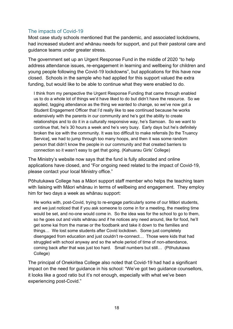## <span id="page-29-0"></span>The impacts of Covid-19

Most case study schools mentioned that the pandemic, and associated lockdowns, had increased student and whānau needs for support, and put their pastoral care and quidance teams under greater stress.

The government set up an Urgent Response Fund in the middle of 2020 "to help address attendance issues, re-engagement in learning and wellbeing for children and young people following the Covid-19 lockdowns", but applications for this have now closed. Schools in the sample who had applied for this support valued the extra funding, but would like to be able to continue what they were enabled to do.

I think from my perspective the Urgent Response Funding that came through enabled us to do a whole lot of things we'd have liked to do but didn't have the resource. So we applied, tagging attendance as the thing we wanted to change, so we've now got a Student Engagement Officer that I'd really like to see continued because he works extensively with the parents in our community and he's got the ability to create relationships and to do it in a culturally responsive way, he's Samoan. So we want to continue that, he's 30 hours a week and he's very busy. Early days but he's definitely broken the ice with the community. It was too difficult to make referrals [to the Truancy Service], we had to jump through too many hoops, and then it was some random person that didn't know the people in our community and that created barriers to connection so it wasn't easy to get that going. (Kahuarau Girls' College)

The Ministry's website now says that the fund is fully allocated and online applications have closed, and "For ongoing need related to the impact of Covid-19, please contact your local Ministry office."

Pōhutukawa College has a Māori support staff member who helps the teaching team with liaising with Māori whānau in terms of wellbeing and engagement. They employ him for two days a week as whānau support:

He works with, post-Covid, trying to re-engage particularly some of our Māori students, and we just noticed that if you ask someone to come in for a meeting, the meeting time would be set, and no-one would come in. So the idea was for the school to go to them, so he goes out and visits whānau and if he notices any need around, like for food, he'll get some kai from the marae or the foodbank and take it down to the families and things… We lost some students after Covid lockdown. Some just completely disengaged from education and just couldn't re-connect… Those were kids that had struggled with school anyway and so the whole period of time of non-attendance, coming back after that was just too hard. Small numbers but still… (Pōhutukawa College)

The principal of Onekiritea College also noted that Covid-19 had had a significant impact on the need for guidance in his school: "We've got two guidance counsellors, it looks like a good ratio but it's not enough, especially with what we've been experiencing post-Covid."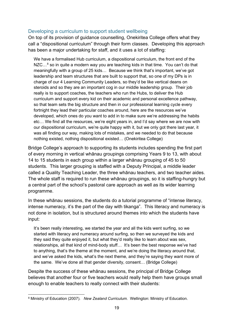#### <span id="page-30-0"></span>Developing a curriculum to support student wellbeing

On top of its provision of guidance counselling, Onekiritea College offers what they call a "dispositional curriculum" through their form classes. Developing this approach has been a major undertaking for staff, and it uses a lot of staffing:

We have a formalised Hub curriculum, a dispositional curriculum, the front end of the NZC...<sup>[8](#page-30-1)</sup> so in quite a modern way you are teaching kids in that time. You can't do that meaningfully with a group of 25 kids… Because we think that's important, we've got leadership and team structures that are built to support that, so one of my DPs is in charge of our 4 Learning Community Leaders, so they'd be like vertical deans on steroids and so they are an important cog in our middle leadership group. Their job really is to support coaches, the teachers who run the Hubs, to deliver the Hub curriculum and support every kid on their academic and personal excellence pathway, so that team sets the big structure and then in our professional learning cycle every fortnight they lead their particular coaches around, here are the resources we've developed, which ones do you want to add in to make sure we're addressing the habits etc… We find all the resources, we're eight years in, and I'd say where we are now with our dispositional curriculum, we're quite happy with it, but we only got there last year, it was all finding our way, making lots of mistakes, and we needed to do that because nothing existed, nothing dispositional existed… (Onekiritea College)

Bridge College's approach to supporting its students includes spending the first part of every morning in vertical whānau groupings comprising Years 9 to 13, with about 14 to 15 students in each group within a larger whānau grouping of 45 to 50 students. This larger grouping is staffed with a Deputy Principal, a middle leader called a Quality Teaching Leader, the three whānau teachers, and two teacher aides. The whole staff is required to run these whānau groupings, so it is staffing-hungry but a central part of the school's pastoral care approach as well as its wider learning programme.

In these whānau sessions, the students do a tutorial programme of "intense literacy, intense numeracy, it's the part of the day with tikanga". This literacy and numeracy is not done in isolation, but is structured around themes into which the students have input:

It's been really interesting, we started the year and all the kids went surfing, so we started with literacy and numeracy around surfing, so then we surveyed the kids and they said they quite enjoyed it, but what they'd really like to learn about was sex, relationships, all that kind of mind-body stuff... It's been the best response we've had to anything, that's the theme at the moment, and we're doing the literacy around that, and we've asked the kids, what's the next theme, and they're saying they want more of the same. We've done all that gender diversity, consent… (Bridge College)

Despite the success of these whānau sessions, the principal of Bridge College believes that another four or five teachers would really help them have groups small enough to enable teachers to really connect with their students:

<span id="page-30-1"></span><sup>8</sup> Ministry of Education (2007). *New Zealand Curriculum*. Wellington: Ministry of Education.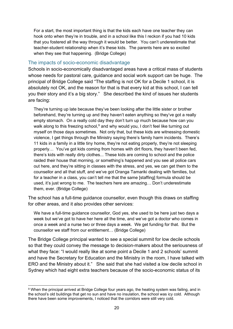For a start, the most important thing is that the kids each have one teacher they can hook onto when they're in trouble, and in a school like this I reckon if you had 10 kids that you fostered all the way through it would be better. You can't underestimate that teacher-student relationship when it's these kids. The parents here are so excited when they see that happening. (Bridge College)

#### <span id="page-31-0"></span>The impacts of socio-economic disadvantage

Schools in socio-economically disadvantaged areas have a critical mass of students whose needs for pastoral care, guidance and social work support can be huge. The principal of Bridge College said "The staffing is not OK for a Decile 1 school, it is absolutely not OK, and the reason for that is that every kid at this school, I can tell you their story and it's a big story." She described the kind of issues her students are facing:

They're turning up late because they've been looking after the little sister or brother beforehand, they're turning up and they haven't eaten anything so they've got a really empty stomach. On a really cold day they don't turn up much because how can you walk along to this freezing school. $9$  and why would you, I don't feel like turning out myself on those days sometimes. Not only that, but these kids are witnessing domestic violence, I get things through the Ministry saying there's family harm incidents. There's 11 kids in a family in a little tiny home, they're not eating properly, they're not sleeping properly… You've got kids coming from homes with dirt floors, they haven't been fed, there's kids with really dirty clothes... These kids are coming to school and the police raided their house that morning, or something's happened and you see all police cars out here, and they're sitting in classes with the stress, and yes, we can get them to the counsellor and all that stuff, and we've got Oranga Tamariki dealing with families, but for a teacher in a class, you can't tell me that the same [staffing] formula should be used, it's just wrong to me. The teachers here are amazing… Don't underestimate them, ever. (Bridge College)

The school has a full-time guidance counsellor, even though this draws on staffing for other areas, and it also provides other services:

We have a full-time guidance counsellor, God yes, she used to be here just two days a week but we've got to have her here all the time, and we've got a doctor who comes in once a week and a nurse two or three days a week. We get funding for that. But the counsellor we staff from our entitlement… (Bridge College)

The Bridge College principal wanted to see a special summit for low decile schools so that they could convey the message to decision-makers about the seriousness of what they face: "I would really like at some point a Decile 1 and 2 schools' summit and have the Secretary for Education and the Ministry in the room, I have talked with ERO and the Ministry about it." She said that she had visited a low decile school in Sydney which had eight extra teachers because of the socio-economic status of its

<span id="page-31-1"></span><sup>9</sup> When the principal arrived at Bridge College four years ago, the heating system was failing, and in the school's old buildings that get no sun and have no insulation, the school was icy cold. Although there have been some improvements, I noticed that the corridors were still very cold.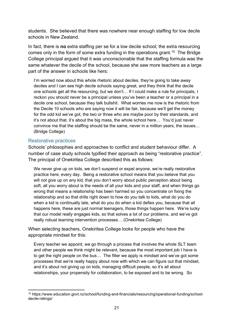students. She believed that there was nowhere near enough staffing for low decile schools in New Zealand.

In fact, there is **no** extra staffing per se for a low decile school; the extra resourcing comes only in the form of some extra funding in the operations grant.<sup>10</sup> The Bridge College principal argued that it was unconscionable that the staffing formula was the same whatever the decile of the school, because she saw more teachers as a large part of the answer in schools like hers:

I'm worried now about this whole rhetoric about deciles, they're going to take away deciles and I can see high decile schools saying great, and they think that the decile one schools get all the resourcing, but we don't… If I could make a rule for principals, I reckon you should never be a principal unless you've been a teacher or a principal in a decile one school, because they talk bullshit. What worries me now is the rhetoric from the Decile 10 schools who are saying now it will be fair, because we'll get the money for the odd kid we've got, the two or three who are maybe poor by their standards, and it's not about that, it's about the big mass, the whole school here… You'd just never convince me that the staffing should be the same, never in a million years, the issues… (Bridge College)

#### <span id="page-32-0"></span>Restorative practices

Schools' philosophies and approaches to conflict and student behaviour differ. A number of case study schools typified their approach as being "restorative practice". The principal of Onekiritea College described this as follows:

We never give up on kids, we don't suspend or expel anyone, we're really restorative practice here, every day. Being a restorative school means that you believe that you will not give up on any kid, that you don't worry about public perception about being soft, all you worry about is the needs of all your kids and your staff, and when things go wrong that means a relationship has been harmed so you concentrate on fixing the relationship and so that drills right down to how do you talk to kids, what do you do when a kid is continually late, what do you do when a kid defies you, because that all happens here, these are just normal teenagers, those things happen here. We're lucky that our model really engages kids, so that solves a lot of our problems, and we've got really robust learning intervention processes… (Onekiritea College)

When selecting teachers, Onekiritea College looks for people who have the appropriate mindset for this:

Every teacher we appoint, we go through a process that involves the whole SLT team and other people we think might be relevant, because the most important job I have is to get the right people on the bus… The filter we apply is mindset and we've got some processes that we're really happy about now with which we can figure out that mindset, and it's about not giving up on kids, managing difficult people, so it's all about relationships, your propensity for collaboration, to be exposed and to be wrong. So

<span id="page-32-1"></span><sup>10</sup> https://www.education.govt.nz/school/funding-and-financials/resourcing/operational-funding/schooldecile-ratings/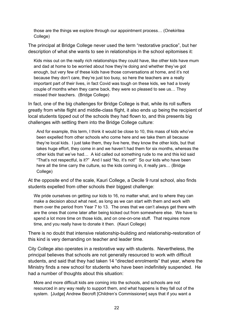those are the things we explore through our appointment process… (Onekiritea College)

The principal at Bridge College never used the term "restorative practice", but her description of what she wants to see in relationships in the school epitomises it:

Kids miss out on the really rich relationships they could have, like other kids have mum and dad at home to be worried about how they're doing and whether they've got enough, but very few of these kids have those conversations at home, and it's not because they don't care, they're just too busy, so here the teachers are a really important part of their lives, in fact Covid was tough on these kids, we had a lovely couple of months when they came back, they were so pleased to see us… They missed their teachers. (Bridge College)

In fact, one of the big challenges for Bridge College is that, while its roll suffers greatly from white flight and middle-class flight, it also ends up being the recipient of local students tipped out of the schools they had flown to, and this presents big challenges with settling them into the Bridge College culture:

And for example, this term, I think it would be close to 10, this mass of kids who've been expelled from other schools who come here and we take them all because they're local kids. I just take them, they live here, they know the other kids, but that takes huge effort, they come in and we haven't had them for six months, whereas the other kids that we've had… A kid called out something rude to me and this kid said "That's not respectful, is it?" And I said "No, it's not!" So our kids who have been here all the time carry the culture, so the kids coming in, it really jars… (Bridge College)

At the opposite end of the scale, Kauri College, a Decile 9 rural school, also finds students expelled from other schools their biggest challenge:

We pride ourselves on getting our kids to 16, no matter what, and to where they can make a decision about what next, as long as we can start with them and work with them over the period from Year 7 to 13. The ones that we can't always get there with are the ones that come later after being kicked out from somewhere else. We have to spend a lot more time on those kids, and on one-on-one stuff. That requires more time, and you really have to donate it then. (Kauri College)

There is no doubt that intensive relationship-building and relationship-restoration of this kind is very demanding on teacher and leader time.

City College also operates in a restorative way with students. Nevertheless, the principal believes that schools are not generally resourced to work with difficult students, and said that they had taken 14 "directed enrolments" that year, where the Ministry finds a new school for students who have been indefinitely suspended. He had a number of thoughts about this situation:

More and more difficult kids are coming into the schools, and schools are not resourced in any way really to support them, and what happens is they fall out of the system. [Judge] Andrew Becroft [Children's Commissioner] says that if you want a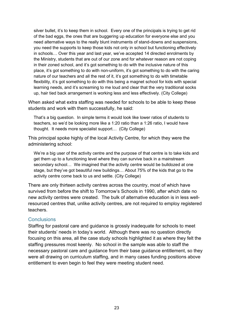silver bullet, it's to keep them in school. Every one of the principals is trying to get rid of the bad eggs, the ones that are buggering up education for everyone else and you need alternative ways to the really blunt instruments of stand-downs and suspensions, you need the supports to keep those kids not only in school but functioning effectively in schools… Over this year and last year, we've accepted 14 directed enrolments by the Ministry, students that are out of our zone and for whatever reason are not coping in their zoned school, and it's got something to do with the inclusive nature of this place, it's got something to do with non-uniform, it's got something to do with the caring nature of our teachers and all the rest of it, it's got something to do with timetable flexibility, it's got something to do with this being a magnet school for kids with special learning needs, and it's screaming to me loud and clear that the very traditional socks up, hair tied back arrangement is working less and less effectively. (City College)

When asked what extra staffing was needed for schools to be able to keep these students and work with them successfully, he said:

That's a big question. In simple terms it would look like lower ratios of students to teachers, so we'd be looking more like a 1:20 ratio than a 1:26 ratio, I would have thought. It needs more specialist support… (City College)

This principal spoke highly of the local Activity Centre, for which they were the administering school:

We're a big user of the activity centre and the purpose of that centre is to take kids and get them up to a functioning level where they can survive back in a mainstream secondary school… We imagined that the activity centre would be bulldozed at one stage, but they've got beautiful new buildings… About 75% of the kids that go to the activity centre come back to us and settle. (City College)

There are only thirteen activity centres across the country, most of which have survived from before the shift to Tomorrow's Schools in 1990, after which date no new activity centres were created. The bulk of alternative education is in less wellresourced centres that, unlike activity centres, are not required to employ registered teachers.

#### <span id="page-34-0"></span>**Conclusions**

Staffing for pastoral care and guidance is grossly inadequate for schools to meet their students' needs in today's world. Although there was no question directly focusing on this area, all the case study schools highlighted it as where they felt the staffing pressures most keenly. No school in the sample was able to staff the necessary pastoral care and guidance from their base guidance entitlement, so they were all drawing on curriculum staffing, and in many cases funding positions above entitlement to even begin to feel they were meeting student need.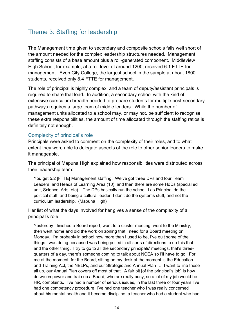# <span id="page-35-0"></span>Theme 3: Staffing for leadership

The Management time given to secondary and composite schools falls well short of the amount needed for the complex leadership structures needed. Management staffing consists of a base amount plus a roll-generated component. Middleview High School, for example, at a roll level of around 1200, received 6.1 FTTE for management. Even City College, the largest school in the sample at about 1800 students, received only 8.4 FTTE for management.

The role of principal is highly complex, and a team of deputy/assistant principals is required to share that load. In addition, a secondary school with the kind of extensive curriculum breadth needed to prepare students for multiple post-secondary pathways requires a large team of middle leaders. While the number of management units allocated to a school may, or may not, be sufficient to recognise these extra responsibilities, the amount of time allocated through the staffing ratios is definitely not enough.

#### <span id="page-35-1"></span>Complexity of principal's role

Principals were asked to comment on the complexity of their roles, and to what extent they were able to delegate aspects of the role to other senior leaders to make it manageable.

The principal of Mapuna High explained how responsibilities were distributed across their leadership team:

You get 5.2 [FTTE] Management staffing. We've got three DPs and four Team Leaders, and Heads of Learning Area (10), and then there are some HoDs (special ed unit, Science, Arts, etc). The DPs basically run the school, I as Principal do the political stuff, and being a cultural leader, I don't do the systems stuff, and not the curriculum leadership. (Mapuna High)

Her list of what the days involved for her gives a sense of the complexity of a principal's role:

Yesterday I finished a Board report, went to a cluster meeting, went to the Ministry, then went home and did the work on zoning that I need for a Board meeting on Monday. I'm probably in school now more than I used to be, I've quit some of the things I was doing because I was being pulled in all sorts of directions to do this that and the other thing. I try to go to all the secondary principals' meetings, that's threequarters of a day, there's someone coming to talk about NCEA so I'll have to go. For me at the moment, for the Board, sitting on my desk at the moment is the Education and Training Act, the NELPs, and our Strategic and Annual Plan … I want to line these all up, our Annual Plan covers off most of that. A fair bit [of the principal's job] is how do we empower and train up a Board, who are really busy, so a lot of my job would be HR, complaints. I've had a number of serious issues, in the last three or four years I've had one competency procedure, I've had one teacher who I was really concerned about his mental health and it became discipline, a teacher who had a student who had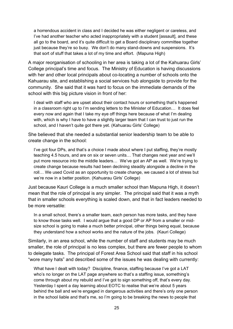a horrendous accident in class and I decided he was either negligent or careless, and I've had another teacher who acted inappropriately with a student [assault], and these all go to the board, and it's quite difficult to get a Board disciplinary committee together just because they're so busy. We don't do many stand-downs and suspensions. It's that sort of stuff that takes a lot of my time and effort. (Mapuna High)

A major reorganisation of schooling in her area is taking a lot of the Kahuarau Girls' College principal's time and focus. The Ministry of Education is having discussions with her and other local principals about co-locating a number of schools onto the Kahuarau site, and establishing a social services hub alongside to provide for the community. She said that it was hard to focus on the immediate demands of the school with this big picture vision in front of her:

I deal with staff who are upset about their contact hours or something that's happened in a classroom right up to I'm sending letters to the Minister of Education… It does feel every now and again that I take my eye off things here because of what I'm dealing with, which is why I have to have a slightly larger team that I can trust to just run the school, and I haven't quite got there yet. (Kahuarau Girls' College)

She believed that she needed a substantial senior leadership team to be able to create change in the school:

I've got four DPs, and that's a choice I made about where I put staffing, they're mostly teaching 4.5 hours, and are on six or seven units… That changes next year and we'll put more resource into the middle leaders… We've got an AP as well. We're trying to create change because results had been declining steadily alongside a decline in the roll… We used Covid as an opportunity to create change, we caused a lot of stress but we're now in a better position. (Kahuarau Girls' College)

Just because Kauri College is a much smaller school than Mapuna High, it doesn't mean that the role of principal is any simpler. The principal said that it was a myth that in smaller schools everything is scaled down, and that in fact leaders needed to be more versatile:

In a small school, there's a smaller team, each person has more tasks, and they have to know those tasks well. I would argue that a good DP or AP from a smaller or midsize school is going to make a much better principal, other things being equal, because they understand how a school works and the nature of the jobs. (Kauri College)

Similarly, in an area school, while the number of staff and students may be much smaller, the role of principal is no less complex, but there are fewer people to whom to delegate tasks. The principal of Forest Area School said that staff in his school "wore many hats" and described some of the issues he was dealing with currently:

What have I dealt with today? Discipline, finance, staffing because I've got a LAT who's no longer on the LAT page anywhere so that's a staffing issue, something's come through about my rebuild and I've got to sign something off, that's every day. Yesterday I spent a day learning about EOTC to realise that we're about 5 years behind the ball and we're engaged in dangerous activities and there's only one person in the school liable and that's me, so I'm going to be breaking the news to people that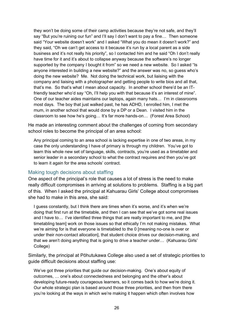they won't be doing some of their camp activities because they're not safe, and they'll say "But you're ruining our fun" and I'll say I don't want to pay a fine... Then someone said "Your website doesn't work" and I asked "What you do mean it doesn't work?" and they said, "Oh we can't get access to it because it's run by a local parent as a side business and it's not really his priority", so I contacted him and he said "Oh I don't really have time for it and it's about to collapse anyway because the software's no longer supported by the company I bought it from" so we need a new website. So I asked "Is anyone interested in building a new website?" and the answer was no, so guess who's doing the new website? Me. Not doing the technical work, but liaising with the company and liaising with a photographer and getting people to write bios and all that, that's me. So that's what I mean about capacity. In another school there'd be an ITfriendly teacher who'd say "Oh, I'll help you with that because it's an interest of mine". One of our teacher aides maintains our laptops, again many hats… I'm in classrooms most days. The boy that just walked past, he has ADHD, I enrolled him, I met the mum, in another school that would done by a DP or a Dean. I visited him in the classroom to see how he's going… It's far more hands-on… (Forest Area School)

He made an interesting comment about the challenges of coming from secondary school roles to become the principal of an area school:

Any principal coming to an area school is lacking expertise in one of two areas, in my case the only understanding I have of primary is through my children. You've got to learn this whole new set of language, skills, contracts, you're used as a timetabler and senior leader in a secondary school to what the contract requires and then you've got to learn it again for the area schools' contract.

### Making tough decisions about staffing

One aspect of the principal's role that causes a lot of stress is the need to make really difficult compromises in arriving at solutions to problems. Staffing is a big part of this. When I asked the principal at Kahuarau Girls' College about compromises she had to make in this area, she said:

I guess constantly, but I think there are times when it's worse, and it's when we're doing that first run at the timetable, and then I can see that we've got some real issues and I have to… I've identified three things that are really important to me, and [the timetabling team] work on those issues so that ethically I'm not making mistakes. What we're aiming for is that everyone is timetabled to the 0 [meaning no-one is over or under their non-contact allocation], that student choice drives our decision-making, and that we aren't doing anything that is going to drive a teacher under… (Kahuarau Girls' College)

Similarly, the principal at Pōhutukawa College also used a set of strategic priorities to guide difficult decisions about staffing use:

We've got three priorities that guide our decision-making. One's about equity of outcomes, … one's about connectedness and belonging and the other's about developing future-ready courageous learners, so it comes back to how we're doing it. Our whole strategic plan is based around those three priorities, and then from there you're looking at the ways in which we're making it happen which often involves how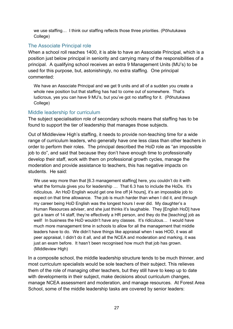we use staffing… I think our staffing reflects those three priorities. (Pōhutukawa College)

## The Associate Principal role

When a school roll reaches 1400, it is able to have an Associate Principal, which is a position just below principal in seniority and carrying many of the responsibilities of a principal. A qualifying school receives an extra 9 Management Units (MU's) to be used for this purpose, but, astonishingly, no extra staffing. One principal commented:

We have an Associate Principal and we get 9 units and all of a sudden you create a whole new position but that staffing has had to come out of somewhere. That's ludicrous, yes you can have 9 MU's, but you've got no staffing for it. (Pōhutukawa College)

## Middle leadership for curriculum

The subject specialisation role of secondary schools means that staffing has to be found to support the tier of leadership that manages those subjects.

Out of Middleview High's staffing, it needs to provide non-teaching time for a wide range of curriculum leaders, who generally have one less class than other teachers in order to perform their roles. The principal described the HoD role as "an impossible job to do", and said that because they don't have enough time to professionally develop their staff, work with them on professional growth cycles, manage the moderation and provide assistance to teachers, this has negative impacts on students. He said:

We use way more than that [6.3 management staffing] here, you couldn't do it with what the formula gives you for leadership ... That 6.3 has to include the HoDs. It's ridiculous. An HoD English would get one line off [4 hours], it's an impossible job to expect on that time allowance. The job is much harder than when I did it, and through my career being HoD English was the longest hours I ever did. My daughter's a Human Resources adviser, and she just thinks it's laughable. They [English HoD] have got a team of 14 staff, they're effectively a HR person, and they do the [teaching] job as well! In business the HoD wouldn't have any classes. It's ridiculous... I would have much more management time in schools to allow for all the management that middle leaders have to do. We didn't have things like appraisal when I was HOD, it was all peer appraisal, I didn't do it all, and all the NCEA and moderation and marking, it was just an exam before. It hasn't been recognised how much that job has grown. (Middleview High)

In a composite school, the middle leadership structure tends to be much thinner, and most curriculum specialists would be sole teachers of their subject. This relieves them of the role of managing other teachers, but they still have to keep up to date with developments in their subject, make decisions about curriculum changes, manage NCEA assessment and moderation, and manage resources. At Forest Area School, some of the middle leadership tasks are covered by senior leaders: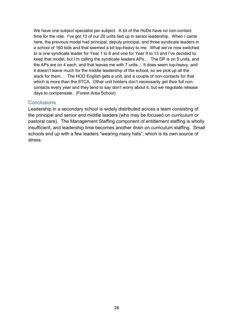We have one subject specialist per subject. A lot of the HoDs have no non-contact time for the role. I've got 13 of our 20 units tied up in senior leadership. When I came here, the previous model had principal, deputy principal, and three syndicate leaders in a school of 160 kids and that seemed a bit top-heavy to me. What we've now switched to is one syndicate leader for Year 1 to 8 and one for Year 9 to 13 and I've decided to keep that model, but I'm calling the syndicate leaders APs… The DP is on 5 units, and the APs are on 4 each, and that leaves me with 7 units… It does seem top-heavy, and it doesn't leave much for the middle leadership of the school, so we pick up all the slack for them… The HOD English gets a unit, and a couple of non-contacts for that which is more than the STCA. Other unit holders don't necessarily get their full noncontacts every year and they tend to say don't worry about it, but we negotiate release days to compensate. (Forest Area School)

### **Conclusions**

Leadership in a secondary school is widely distributed across a team consisting of the principal and senior and middle leaders (who may be focused on curriculum or pastoral care). The Management Staffing component of entitlement staffing is wholly insufficient, and leadership time becomes another drain on curriculum staffing. Small schools end up with a few leaders "wearing many hats", which is its own source of stress.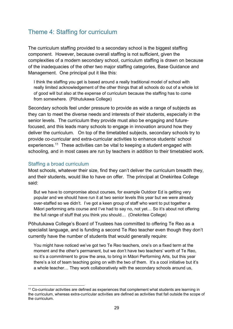## Theme 4: Staffing for curriculum

The curriculum staffing provided to a secondary school is the biggest staffing component. However, because overall staffing is not sufficient, given the complexities of a modern secondary school, curriculum staffing is drawn on because of the inadequacies of the other two major staffing categories, Base Guidance and Management. One principal put it like this:

I think the staffing you get is based around a really traditional model of school with really limited acknowledgement of the other things that all schools do out of a whole lot of good will but also at the expense of curriculum because the staffing has to come from somewhere. (Pōhutukawa College)

Secondary schools feel under pressure to provide as wide a range of subjects as they can to meet the diverse needs and interests of their students, especially in the senior levels. The curriculum they provide must also be engaging and futurefocused, and this leads many schools to engage in innovation around how they deliver the curriculum. On top of the timetabled subjects, secondary schools try to provide co-curricular and extra-curricular activities to enhance students' school experiences.[11](#page-40-0) These activities can be vital to keeping a student engaged with schooling, and in most cases are run by teachers in addition to their timetabled work.

### Staffing a broad curriculum

Most schools, whatever their size, find they can't deliver the curriculum breadth they, and their students, would like to have on offer. The principal at Onekiritea College said:

But we have to compromise about courses, for example Outdoor Ed is getting very popular and we should have run it at two senior levels this year but we were already over-staffed so we didn't. I've got a keen group of staff who want to put together a Māori performing arts course and I've had to say no, not yet… So it's about not offering the full range of stuff that you think you should… (Onekiritea College)

Pōhutukawa College's Board of Trustees has committed to offering Te Reo as a specialist language, and is funding a second Te Reo teacher even though they don't currently have the number of students that would generally require:

You might have noticed we've got two Te Reo teachers, one's on a fixed term at the moment and the other's permanent, but we don't have two teachers' worth of Te Reo, so it's a commitment to grow the area, to bring in Māori Performing Arts, but this year there's a lot of team teaching going on with the two of them. It's a cool initiative but it's a whole teacher… They work collaboratively with the secondary schools around us,

<span id="page-40-0"></span><sup>11</sup> Co-curricular activities are defined as experiences that complement what students are learning in the curriculum, whereas extra-curricular activities are defined as activities that fall outside the scope of the curriculum.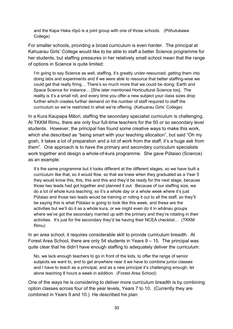and the Kapa Haka rōpū is a joint group with one of those schools. (Pōhutukawa College)

For smaller schools, providing a broad curriculum is even harder. The principal at Kahuarau Girls' College would like to be able to staff a better Science programme for her students, but staffing pressures in her relatively small school mean that the range of options in Science is quite limited:

I'm going to say Science as well, staffing, it's greatly under-resourced, getting them into doing labs and experiments and if we were able to resource that better staffing-wise we could get that really firing… There's so much more that we could be doing: Earth and Space Science for instance… [She later mentioned Horticultural Science too]. The reality is it's a small roll, and every time you offer a new subject your class sizes drop further which creates further demand on the number of staff required to staff the curriculum so we're restricted in what we're offering. (Kahuarau Girls' College)

In a Kura Kaupapa Māori, staffing the secondary specialist curriculum is challenging. At TKKM Rimu, there are only four full-time teachers for the 50 or so secondary level students. However, the principal has found some creative ways to make this work, which she described as "being smart with your teaching allocation", but said "Oh my gosh, it takes a lot of preparation and a lot of work from the staff, it's a huge ask from them". One approach is to have the primary and secondary curriculum specialists work together and design a whole-of-kura programme. She gave Pūtaiao (Science) as an example:

It's the same programme but it looks different at the different stages, so we have built a curriculum like that, so it would flow, so that we knew when they graduated as a Year 5 they would know this, this, this and this and they'd be ready for the next stage, because those two leads had got together and planned it out. Because of our staffing size, we do a lot of whole kura teaching, so it's a whole day or a whole week where it's just Pūtaiao and those two leads would be training or rolling it out to all the staff, so they'll be saying this is what Pūtaiao is going to look like this week, and these are the activities but we'll do it as a whole kura, or we might even do it in whānau groups where we've got the secondary married up with the primary and they're rotating in their activities. It's just for the secondary they'd be having their NCEA checklist… (TKKM Rimu)

In an area school, it requires considerable skill to provide curriculum breadth. At Forest Area School, there are only 54 students in Years 9 – 15. The principal was quite clear that he didn't have enough staffing to adequately deliver the curriculum:

No, we lack enough teachers to go in front of the kids, to offer the range of senior subjects we want to, and to get anywhere near it we have to combine junior classes and I have to teach as a principal, and as a new principal it's challenging enough, let alone teaching 8 hours a week in addition. (Forest Area School)

One of the ways he is considering to deliver more curriculum breadth is by combining option classes across four of the year levels, Years 7 to 10. (Currently they are combined in Years 9 and 10.) He described his plan: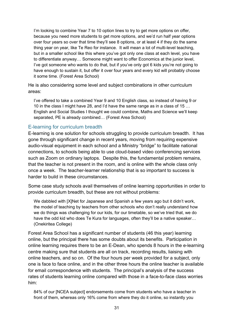I'm looking to combine Year 7 to 10 option lines to try to get more options on offer, because you need more students to get more options, and we'd run half year options over four years so over that time they'll see 8 options, or at least 4 if they do the same thing year on year, like Te Reo for instance. It will mean a lot of multi-level teaching, but in a smaller school like this where you've got only one class at each level, you have to differentiate anyway… Someone might want to offer Economics at the junior level, I've got someone who wants to do that, but if you've only got 6 kids you're not going to have enough to sustain it, but offer it over four years and every kid will probably choose it some time. (Forest Area School)

He is also considering some level and subject combinations in other curriculum areas:

I've offered to take a combined Year 9 and 10 English class, so instead of having 9 or 10 in the class I might have 28, and I'd have the same range as in a class of 15 … English and Social Studies I thought we could combine, Maths and Science we'll keep separated, PE is already combined… (Forest Area School)

### E-learning for curriculum breadth

E-learning is one solution for schools struggling to provide curriculum breadth. It has gone through significant change in recent years, moving from requiring expensive audio-visual equipment in each school and a Ministry "bridge" to facilitate national connections, to schools being able to use cloud-based video conferencing services such as Zoom on ordinary laptops. Despite this, the fundamental problem remains, that the teacher is not present in the room, and is online with the whole class only once a week. The teacher-learner relationship that is so important to success is harder to build in these circumstances.

Some case study schools avail themselves of online learning opportunities in order to provide curriculum breadth, but these are not without problems:

We dabbled with [X]Net for Japanese and Spanish a few years ago but it didn't work, the model of teaching by teachers from other schools who don't really understand how we do things was challenging for our kids, for our timetable, so we've tried that, we do have the odd kid who does Te Kura for languages, often they'll be a native speaker… (Onekiritea College)

Forest Area School has a significant number of students (46 this year) learning online, but the principal there has some doubts about its benefits. Participation in online learning requires there to be an E-Dean, who spends 8 hours in the e-learning centre making sure that students are all on track, recording results, liaising with online teachers, and so on. Of the four hours per week provided for a subject, only one is face to face online, and in the other three hours the online teacher is available for email correspondence with students. The principal's analysis of the success rates of students learning online compared with those in a face-to-face class worries him:

84% of our [NCEA subject] endorsements come from students who have a teacher in front of them, whereas only 16% come from where they do it online, so instantly you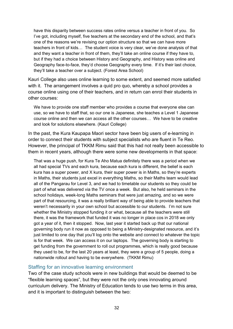have this disparity between success rates online versus a teacher in front of you. So I've got, including myself, five teachers at the secondary end of the school, and that's one of the reasons we're revising our option structure so that we can have more teachers in front of kids… The student voice is very clear, we've done analysis of that and they want a teacher in front of them, they'll take an online course if they have to, but if they had a choice between History and Geography, and History was online and Geography face-to-face, they'd choose Geography every time. If it's their last choice, they'll take a teacher over a subject. (Forest Area School)

Kauri College also uses online learning to some extent, and seemed more satisfied with it. The arrangement involves a quid pro quo, whereby a school provides a course online using one of their teachers, and in return can enrol their students in other courses:

We have to provide one staff member who provides a course that everyone else can use, so we have to staff that, so our one is Japanese, she teaches a Level 1 Japanese course online and then we can access all the other courses… We have to be creative and look for solutions elsewhere. (Kauri College)

In the past, the Kura Kaupapa Maori sector have been big users of e-learning in order to connect their students with subject specialists who are fluent in Te Reo. However, the principal of TKKM Rimu said that this had not really been accessible to them in recent years, although there were some new developments in that space:

That was a huge push, for Kura Te Aho Matua definitely there was a period when we all had special TVs and each kura, because each kura is different, the belief is each kura has a super power, and X kura, their super power is in Maths, so they're experts in Maths, their students just excel in everything Maths, so their Maths team would lead all of the Pangarau for Level 3, and we had to timetable our students so they could be part of what was delivered via the TV once a week. But also, he held seminars in the school holidays, week-long Maths seminars that were just amazing, and so we were part of that resourcing, it was a really brilliant way of being able to provide teachers that weren't necessarily in your own school but accessible to our students. I'm not sure whether the Ministry stopped funding it or what, because all the teachers were still there, it was the framework that funded it was no longer in place cos in 2018 we only got a year of it, then it stopped. Now, last year it started back up that our national governing body run it now as opposed to being a Ministry-designated resource, and it's just limited to one day that you'll log onto the website and connect to whatever the topic is for that week. We can access it on our laptops. The governing body is starting to get funding from the government to roll out programmes, which is really good because they used to be, for the last 20 years at least, they were a group of 5 people, doing a nationwide rollout and having to be everywhere. (TKKM Rimu)

#### Staffing for an innovative learning environment

Two of the case study schools were in new buildings that would be deemed to be "flexible learning spaces", but they were not the only ones innovating around curriculum delivery. The Ministry of Education tends to use two terms in this area, and it is important to distinguish between the two: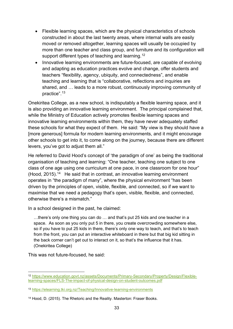- Flexible learning spaces, which are the physical characteristics of schools constructed in about the last twenty areas, where internal walls are easily moved or removed altogether, learning spaces will usually be occupied by more than one teacher and class group, and furniture and its configuration will support different types of teaching and learning.<sup>[12](#page-44-0)</sup>
- Innovative learning environments are future-focused, are capable of evolving and adapting as education practices evolve and change, offer students and teachers "flexibility, agency, ubiquity, and connectedness", and enable teaching and learning that is "collaborative, reflections and inquiries are shared, and … leads to a more robust, continuously improving community of practice".[13](#page-44-1)

Onekiritea College, as a new school, is indisputably a flexible learning space, and it is also providing an innovative learning environment. The principal complained that, while the Ministry of Education actively promotes flexible learning spaces and innovative learning environments within them, they have never adequately staffed these schools for what they expect of them. He said: "My view is they should have a [more generous] formula for modern learning environments, and it might encourage other schools to get into it, to come along on the journey, because there are different levers, you've got to adjust them all."

He referred to David Hood's concept of 'the paradigm of one' as being the traditional organisation of teaching and learning: "One teacher, teaching one subject to one class of one age using one curriculum at one pace, in one classroom for one hour" (Hood, 2015).<sup>14</sup> He said that in contrast, an innovative learning environment operates in "the paradigm of many", where the physical environment "has been driven by the principles of open, visible, flexible, and connected, so if we want to maximise that we need a pedagogy that's open, visible, flexible, and connected, otherwise there's a mismatch."

In a school designed in the past, he claimed:

…there's only one thing you can do … and that's put 25 kids and one teacher in a space. As soon as you only put 5 in there, you create overcrowding somewhere else, so if you have to put 25 kids in there, there's only one way to teach, and that's to teach from the front, you can put an interactive whiteboard in there but that big kid sitting in the back corner can't get out to interact on it, so that's the influence that it has. (Onekiritea College)

This was not future-focused, he said:

<span id="page-44-0"></span><sup>12</sup> [https://www.education.govt.nz/assets/Documents/Primary-Secondary/Property/Design/Flexible](https://www.education.govt.nz/assets/Documents/Primary-Secondary/Property/Design/Flexible-learning-spaces/FLS-The-impact-of-physical-design-on-student-outcomes.pdf)[learning-spaces/FLS-The-impact-of-physical-design-on-student-outcomes.pdf](https://www.education.govt.nz/assets/Documents/Primary-Secondary/Property/Design/Flexible-learning-spaces/FLS-The-impact-of-physical-design-on-student-outcomes.pdf)

<span id="page-44-1"></span><sup>13</sup> <https://elearning.tki.org.nz/Teaching/Innovative-learning-environments>

<span id="page-44-2"></span><sup>14</sup> Hood, D. (2015). The Rhetoric and the Reality. Masterton: Fraser Books.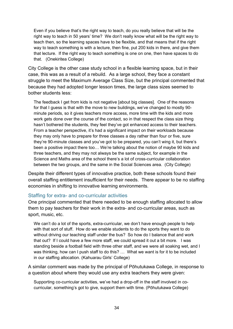Even if you believe that's the right way to teach, do you really believe that will be the right way to teach in 50 years' time? We don't really know what will be the right way to teach then, so the learning spaces have to be flexible, and that means that if the right way to teach something is with a lecture, then fine, put 200 kids in there, and give them that lecture. If the right way to teach something is one on one, then have spaces to do that. (Onekiritea College)

City College is the other case study school in a flexible learning space, but in their case, this was as a result of a rebuild. As a large school, they face a constant struggle to meet the Maximum Average Class Size, but the principal commented that because they had adopted longer lesson times, the large class sizes seemed to bother students less:

The feedback I get from kids is not negative [about big classes]. One of the reasons for that I guess is that with the move to new buildings, we've changed to mostly 90 minute periods, so it gives teachers more access, more time with the kids and more work gets done over the course of the contact, so in that respect the class size thing hasn't bothered the students, they feel they've got enhanced access to their teachers. From a teacher perspective, it's had a significant impact on their workloads because they may only have to prepare for three classes a day rather than four or five, sure they're 90-minute classes and you've got to be prepared, you can't wing it, but there's been a positive impact there too… We're talking about the notion of maybe 90 kids and three teachers, and they may not always be the same subject, for example in the Science and Maths area of the school there's a lot of cross-curricular collaboration between the two groups, and the same in the Social Sciences area. (City College)

Despite their different types of innovative practice, both these schools found their overall staffing entitlement insufficient for their needs. There appear to be no staffing economies in shifting to innovative learning environments.

### Staffing for extra- and co-curricular activities

One principal commented that there needed to be enough staffing allocated to allow them to pay teachers for their work in the extra- and co-curricular areas, such as sport, music, etc.

We can't do a lot of the sports, extra-curricular, we don't have enough people to help with that sort of stuff. How do we enable students to do the sports they want to do without driving our teaching staff under the bus? So how do I balance that and work that out? If I could have a few more staff, we could spread it out a bit more. I was standing beside a football field with three other staff, and we were all soaking wet, and I was thinking, how can I push staff to do this? … What we want is for it to be included in our staffing allocation. (Kahuarau Girls' College)

A similar comment was made by the principal of Pōhutukawa College, in response to a question about where they would use any extra teachers they were given:

Supporting co-curricular activities, we've had a drop-off in the staff involved in cocurricular, something's got to give, support them with time. (Pōhutukawa College)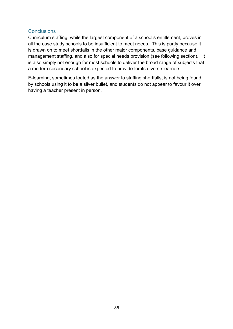### **Conclusions**

Curriculum staffing, while the largest component of a school's entitlement, proves in all the case study schools to be insufficient to meet needs. This is partly because it is drawn on to meet shortfalls in the other major components, base guidance and management staffing, and also for special needs provision (see following section). It is also simply not enough for most schools to deliver the broad range of subjects that a modern secondary school is expected to provide for its diverse learners.

E-learning, sometimes touted as the answer to staffing shortfalls, is not being found by schools using it to be a silver bullet, and students do not appear to favour it over having a teacher present in person.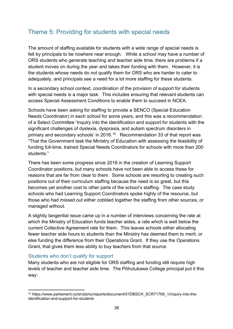## Theme 5: Providing for students with special needs

The amount of staffing available for students with a wide range of special needs is felt by principals to be nowhere near enough. While a school may have a number of ORS students who generate teaching and teacher aide time, there are problems if a student moves on during the year and takes their funding with them. However, it is the students whose needs do not qualify them for ORS who are harder to cater to adequately, and principals see a need for a lot more staffing for these students.

In a secondary school context, coordination of the provision of support for students with special needs is a major task. This includes ensuring that relevant students can access Special Assessment Conditions to enable them to succeed in NCEA.

Schools have been asking for staffing to provide a SENCO (Special Education Needs Coordinator) in each school for some years, and this was a recommendation of a Select Committee 'Inquiry into the identification and support for students with the significant challenges of dyslexia, dyspraxia, and autism spectrum disorders in primary and secondary schools' in 2016.[15](#page-47-0) Recommendation 33 of that report was "That the Government task the Ministry of Education with assessing the feasibility of funding full-time, trained Special Needs Coordinators for schools with more than 200 students."

There has been some progress since 2016 in the creation of Learning Support Coordinator positions, but many schools have not been able to access these for reasons that are far from clear to them. Some schools are resorting to creating such positions out of their curriculum staffing because the need is so great, but this becomes yet another cost to other parts of the school's staffing. The case study schools who had Learning Support Coordinators spoke highly of the resource, but those who had missed out either cobbled together the staffing from other sources, or managed without.

A slightly tangential issue came up in a number of interviews concerning the rate at which the Ministry of Education funds teacher aides, a rate which is well below the current Collective Agreement rate for them. This leaves schools either allocating fewer teacher aide hours to students than the Ministry has deemed them to merit, or else funding the difference from their Operations Grant. If they use the Operations Grant, that gives them less ability to buy teachers from that source.

### Students who don't qualify for support

Many students who are not eligible for ORS staffing and funding still require high levels of teacher and teacher aide time. The Pōhutukawa College principal put it this way:

<span id="page-47-0"></span><sup>15</sup> https://www.parliament.nz/en/pb/sc/reports/document/51DBSCH\_SCR71769\_1/inquiry-into-theidentification-and-support-for-students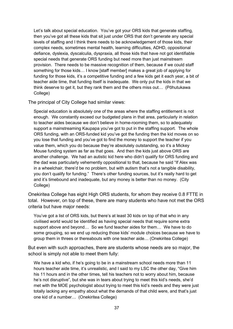Let's talk about special education. You've got your ORS kids that generate staffing, then you've got all these kids that sit just under ORS that don't generate any special levels of staffing and I think there needs to be acknowledgement of those kids, their complex needs, sometimes mental health, learning difficulties, ADHD, oppositional defiance, dyslexia, dyscalculia, dyspraxia, all those kids that have not got identifiable special needs that generate ORS funding but need more than just mainstream provision. There needs to be massive recognition of them, because if we could staff something for those kids… I know [staff member] makes a great job of applying for funding for those kids, it's a competitive funding and a few kids get it each year, a bit of teacher aide time, that funding itself is inadequate. We only put the kids in that we think deserve to get it, but they rank them and the others miss out… (Pōhutukawa College)

The principal of City College had similar views:

Special education is absolutely one of the areas where the staffing entitlement is not enough. We constantly exceed our budgeted plans in that area, particularly in relation to teacher aides because we don't believe in home-rooming them, so to adequately support a mainstreaming Kaupapa you've got to put in the staffing support. The whole ORS funding, with an ORS-funded kid you've got the funding then the kid moves on so you lose that funding and you've got to find the money to support the teacher if you value them, which you do because they're absolutely outstanding, so it's a Mickey Mouse funding system as far as that goes. And then the kids just above ORS are another challenge. We had an autistic kid here who didn't qualify for ORS funding and the dad was particularly vehemently oppositional to that, because he said "If Alex was in a wheelchair, there'd be no problem, but with autism that's not a tangible disability, you don't qualify for funding." There's other funding sources, but it's really hard to get and it's timebound and inadequate, but any money is better than no money. (City College)

Onekiritea College has eight High ORS students, for whom they receive 0.8 FTTE in total. However, on top of these, there are many students who have not met the ORS criteria but have major needs:

You've got a list of ORS kids, but there's at least 30 kids on top of that who in any civilised world would be identified as having special needs that require some extra support above and beyond… So we fund teacher aides for them… We have to do some grouping, so we end up reducing those kids' module choices because we have to group them in threes or thereabouts with one teacher aide… (Onekiritea College)

But even with such approaches, there are students whose needs are so major, the school is simply not able to meet them fully:

We have a kid who, if he's going to be in a mainstream school needs more than 11 hours teacher aide time, it's unrealistic, and I said to my LSC the other day, "Give him his 11 hours and in the other times, tell his teachers not to worry about him, because he's not disruptive", but she was in tears about trying to meet this kid's needs, she'd met with the MOE psychologist about trying to meet this kid's needs and they were just totally lacking any empathy about what the demands of that child were, and that's just one kid of a number… (Onekiritea College)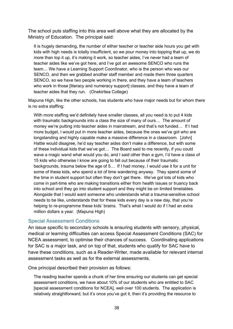The school puts staffing into this area well above what they are allocated by the Ministry of Education. The principal said:

It is hugely demanding, the number of either teacher or teacher aide hours you get with kids with high needs is totally insufficient, so we pour money into topping that up, we do more than top it up, it's making it work, so teacher aides, I've never had a team of teacher aides like we've got here, and I've got an awesome SENCO who runs the team… We have a Learning Support Coordinator, who is the person who was our SENCO, and then we grabbed another staff member and made them three quarters SENCO, so we have two people working in there, and they have a team of teachers who work in those [literacy and numeracy support] classes, and they have a team of teacher aides that they run. (Onekiritea College)

Mapuna High, like the other schools, has students who have major needs but for whom there is no extra staffing:

With more staffing we'd definitely have smaller classes, all you need is to put 4 kids with traumatic backgrounds into a class the size of many of ours… The amount of money we're putting into teacher aides in mainstream, and that's not funded… If I had more budget, I would put in more teacher aides, because the ones we've got who are longstanding and highly capable make a massive difference in a classroom. [John] Hattie would disagree, he'd say teacher aides don't make a difference, but with some of these individual kids that we've got… The Board said to me recently, if you could wave a magic wand what would you do, and I said other than a gym, I'd have a class of 15 kids who otherwise I know are going to fall out because of their traumatic backgrounds, trauma below the age of 5… If I had money, I would use it for a unit for some of these kids, who spend a lot of time wandering anyway. They spend some of the time in student support but often they don't get there. We've got lots of kids who come in part-time who are making transitions either from health issues or truancy back into school and they go into student support and they might be on limited timetables. Alongside that I would want someone who understands what a trauma-sensitive school needs to be like, understands that for these kids every day is a new day, that you're helping to re-programme these kids' brains. That's what I would do if I had an extra million dollars a year. (Mapuna High)

#### Special Assessment Conditions

An issue specific to secondary schools is ensuring students with sensory, physical, medical or learning difficulties can access Special Assessment Conditions (SAC) for NCEA assessment, to optimise their chances of success. Coordinating applications for SAC is a major task, and on top of that, students who qualify for SAC have to have these conditions, such as a Reader-Writer, made available for relevant internal assessment tasks as well as for the external assessments.

One principal described their provision as follows:

The reading teacher spends a chunk of her time ensuring our students can get special assessment conditions, we have about 10% of our students who are entitled to SAC [special assessment conditions for NCEA], well over 100 students. The application is relatively straightforward, but it's once you've got it, then it's providing the resource to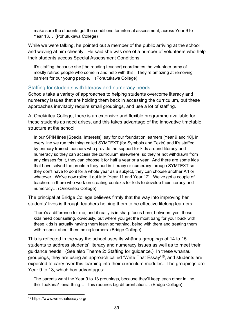make sure the students get the conditions for internal assessment, across Year 9 to Year 13… (Pōhutukawa College)

While we were talking, he pointed out a member of the public arriving at the school and waving at him cheerily. He said she was one of a number of volunteers who help their students access Special Assessment Conditions:

It's staffing, because she *i*the reading teacher] coordinates the volunteer army of mostly retired people who come in and help with this. They're amazing at removing barriers for our young people. (Pōhutukawa College)

## Staffing for students with literacy and numeracy needs

Schools take a variety of approaches to helping students overcome literacy and numeracy issues that are holding them back in accessing the curriculum, but these approaches inevitably require small groupings, and use a lot of staffing.

At Onekiritea College, there is an extensive and flexible programme available for these students as need arises, and this takes advantage of the innovative timetable structure at the school:

In our SPIN lines [Special Interests], say for our foundation learners [Year 9 and 10], in every line we run this thing called SYMTEXT (for Symbols and Texts) and it's staffed by primary trained teachers who provide the support for kids around literacy and numeracy so they can access the curriculum elsewhere, so they're not withdrawn from any classes for it, they can choose it for half a year or a year. And there are some kids that have solved the problem they had in literacy or numeracy through SYMTEXT so they don't have to do it for a whole year as a subject, they can choose another Art or whatever. We've now rolled it out into [Year 11 and Year 12]. We've got a couple of teachers in there who work on creating contexts for kids to develop their literacy and numeracy… (Onekiritea College)

The principal at Bridge College believes firmly that the way into improving her students' lives is through teachers helping them to be effective lifelong learners:

There's a difference for me, and it really is in sharp focus here, between, yes, these kids need counselling, obviously, but where you get the most bang for your buck with these kids is actually having them learn something, being with them and treating them with respect about them being learners. (Bridge College)

This is reflected in the way the school uses its whānau groupings of 14 to 15 students to address students' literacy and numeracy issues as well as to meet their guidance needs. (See also Theme 2: Staffing for guidance.) In these whānau groupings, they are using an approach called 'Write That Essay'[16,](#page-50-0) and students are expected to carry over this learning into their curriculum modules. The groupings are Year 9 to 13, which has advantages:

The parents want the Year 9 to 13 groupings, because they'll keep each other in line, the Tuakana/Teina thing… This requires big differentiation… (Bridge College)

<span id="page-50-0"></span><sup>16</sup> https://www.writethatessay.org/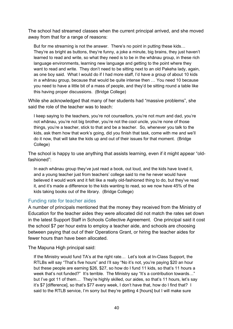The school had streamed classes when the current principal arrived, and she moved away from that for a range of reasons:

But for me streaming is not the answer. There's no point in putting these kids… They're as bright as buttons, they're funny, a joke a minute, big brains, they just haven't learned to read and write, so what they need is to be in the whānau group, in these rich language environments, learning new language and getting to the point where they want to read and write. They don't need to be sitting next to an old Pakeha lady, again, as one boy said. What I would do if I had more staff, I'd have a group of about 10 kids in a whānau group, because that would be quite intense then … You need 10 because you need to have a little bit of a mass of people, and they'd be sitting round a table like this having proper discussions. (Bridge College)

While she acknowledged that many of her students had "massive problems", she said the role of the teacher was to teach:

I keep saying to the teachers, you're not counsellors, you're not mum and dad, you're not whānau, you're not big brother, you're not the cool uncle, you're none of those things, you're a teacher, stick to that and be a teacher. So, whenever you talk to the kids, ask them how that work's going, did you finish that task, come with me and we'll do it now, that will take the kids up and out of their issues for that moment. (Bridge College)

The school is happy to use anything that assists learning, even if it might appear "oldfashioned":

In each whānau group they've just read a book, out loud, and the kids have loved it, and a young teacher just from teachers' college said to me he never would have believed it would work and it felt like a really old-fashioned thing to do, but they've read it, and it's made a difference to the kids wanting to read, so we now have 45% of the kids taking books out of the library. (Bridge College)

## Funding rate for teacher aides

A number of principals mentioned that the money they received from the Ministry of Education for the teacher aides they were allocated did not match the rates set down in the latest Support Staff in Schools Collective Agreement. One principal said it cost the school \$7 per hour extra to employ a teacher aide, and schools are choosing between paying that out of their Operations Grant, or hiring the teacher aides for fewer hours than have been allocated.

The Mapuna High principal said:

If the Ministry would fund TA's at the right rate… Let's look at In-Class Support, the RTLBs will say "That's five hours" and I'll say "No it's not, you're paying \$20 an hour but these people are earning \$26, \$27, so how do I fund 11 kids, so that's 11 hours a week that's not funded?" It's terrible. The Ministry say "It's a contribution towards..." but I've got 11 of them… They're highly skilled, our aides, so that's 11 hours, let's say it's \$7 [difference], so that's \$77 every week, I don't have that, how do I find that? I said to the RTLB service, I'm sorry but they're getting 4 [hours] but I will make sure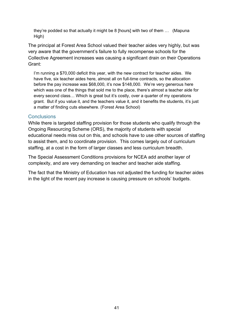they're podded so that actually it might be 8 [hours] with two of them … (Mapuna High)

The principal at Forest Area School valued their teacher aides very highly, but was very aware that the government's failure to fully recompense schools for the Collective Agreement increases was causing a significant drain on their Operations Grant:

I'm running a \$70,000 deficit this year, with the new contract for teacher aides. We have five, six teacher aides here, almost all on full-time contracts, so the allocation before the pay increase was \$68,000, it's now \$148,000. We're very generous here which was one of the things that sold me to the place, there's almost a teacher aide for every second class… Which is great but it's costly, over a quarter of my operations grant. But if you value it, and the teachers value it, and it benefits the students, it's just a matter of finding cuts elsewhere. (Forest Area School)

#### **Conclusions**

While there is targeted staffing provision for those students who qualify through the Ongoing Resourcing Scheme (ORS), the majority of students with special educational needs miss out on this, and schools have to use other sources of staffing to assist them, and to coordinate provision. This comes largely out of curriculum staffing, at a cost in the form of larger classes and less curriculum breadth.

The Special Assessment Conditions provisions for NCEA add another layer of complexity, and are very demanding on teacher and teacher aide staffing.

The fact that the Ministry of Education has not adjusted the funding for teacher aides in the light of the recent pay increase is causing pressure on schools' budgets.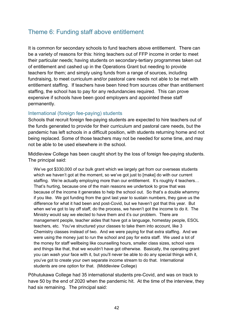## Theme 6: Funding staff above entitlement

It is common for secondary schools to fund teachers above entitlement. There can be a variety of reasons for this: hiring teachers out of FFP income in order to meet their particular needs; having students on secondary-tertiary programmes taken out of entitlement and cashed up in the Operations Grant but needing to provide teachers for them; and simply using funds from a range of sources, including fundraising, to meet curriculum and/or pastoral care needs not able to be met with entitlement staffing. If teachers have been hired from sources other than entitlement staffing, the school has to pay for any redundancies required. This can prove expensive if schools have been good employers and appointed these staff permanently.

#### International (foreign fee-paying) students

Schools that recruit foreign fee-paying students are expected to hire teachers out of the funds generated to provide for their curriculum and pastoral care needs, but the pandemic has left schools in a difficult position, with students returning home and not being replaced. Some of those teachers may not be needed for some time, and may not be able to be used elsewhere in the school.

Middleview College has been caught short by the loss of foreign fee-paying students. The principal said:

We've got \$330,000 of our bulk grant which we largely get from our overseas students which we haven't got at the moment, so we've got just to [make] do with our current staffing. We're actually employing more than our entitlement. It's roughly 4 teachers… That's hurting, because one of the main reasons we undertook to grow that was because of the income it generates to help the school out. So that's a double whammy if you like. We got funding from the govt last year to sustain numbers, they gave us the difference for what it had been and post-Covid, but we haven't got that this year. But when we've got to lay off staff, do the process, we haven't got the income to do it. The Ministry would say we elected to have them and it's our problem. There are management people, teacher aides that have got a language, homestay people, ESOL teachers, etc. You've structured your classes to take them into account, like 3 Chemistry classes instead of two. And we were paying for that extra staffing. And we were using the money just to run the school and pay for extra staff. We used a lot of the money for staff wellbeing like counselling hours, smaller class sizes, school vans and things like that, that we wouldn't have got otherwise. Basically, the operating grant you can wash your face with it, but you'll never be able to do any special things with it, you've got to create your own separate income stream to do that. International students are one option for that. (Middleview College)

Pōhutukawa College had 35 international students pre-Covid, and was on track to have 50 by the end of 2020 when the pandemic hit. At the time of the interview, they had six remaining. The principal said: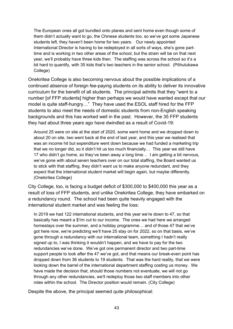The European ones all got bundled onto planes and sent home even though some of them didn't actually want to go, the Chinese students too, so we've got some Japanese students left, they haven't been home for two years. Our newly appointed International Director is having to be redeployed in all sorts of ways, she's gone parttime and is working in two other areas of the school, but the strain will be on that next year, we'll probably have three kids then. The staffing was across the school so it's a bit hard to quantify, with 35 kids that's two teachers in the senior school. (Pōhutukawa College)

Onekiritea College is also becoming nervous about the possible implications of a continued absence of foreign fee-paying students on its ability to deliver its innovative curriculum for the benefit of all students. The principal admits that they "went to a number [of FFP students] higher than perhaps we would have wanted except that our model is quite staff-hungry…" They have used the ESOL staff hired for the FFP students to also meet the needs of domestic students from non-English speaking backgrounds and this has worked well in the past. However, the 35 FFP students they had about three years ago have dwindled as a result of Covid-19:

Around 25 were on site at the start of 2020, some went home and we dropped down to about 20 on site, two went back at the end of last year, and this year we realised that was an income hit but expenditure went down because we had funded a marketing trip that we no longer did, so it didn't hit us too much financially… This year we still have 17 who didn't go home, so they've been away a long time… I am getting a bit nervous, we've gone with about seven teachers over on our total staffing, the Board wanted us to stick with that staffing, they didn't want us to make anyone redundant, and they expect that the international student market will begin again, but maybe differently. (Onekiritea College)

City College, too, is facing a budget deficit of \$300,000 to \$400,000 this year as a result of loss of FFP students, and unlike Onekiritea College, they have embarked on a redundancy round. The school had been quite heavily engaged with the international student market and was feeling the loss:

In 2019 we had 122 international students, and this year we're down to 47, so that basically has meant a \$1m cut to our income. The ones we had here we arranged homestays over the summer, and a holiday programme… and of those 47 that we've got here now, we're predicting we'll have 25 stay on for 2022, so on that basis, we've gone through a redundancy with our international team, something I hadn't really signed up to, I was thinking it wouldn't happen, and we have to pay for the two redundancies we've done. We've got one permanent director and two part-time support people to look after the 47 we've got, and that means our break-even point has dropped down from 36 students to 19 students. That was the hard reality, that we were looking down the barrel of the international department staffing costing us money. We have made the decision that, should those numbers not eventuate, we will not go through any other redundancies, we'll redeploy those two staff members into other roles within the school. The Director position would remain. (City College)

Despite the above, the principal seemed quite philosophical: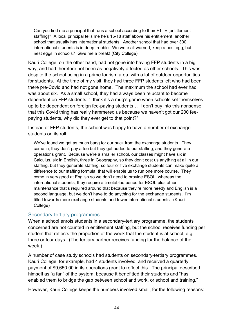Can you find me a principal that runs a school according to their FTTE [entitlement staffing]? A local principal tells me he's 15-18 staff above his entitlement, another school that usually has international students. Another school that had over 300 international students is in deep trouble. We were all warned, keep a nest egg, but nest eggs in schools? Give me a break! (City College)

Kauri College, on the other hand, had not gone into having FFP students in a big way, and had therefore not been as negatively affected as other schools. This was despite the school being in a prime tourism area, with a lot of outdoor opportunities for students. At the time of my visit, they had three FFP students left who had been there pre-Covid and had not gone home. The maximum the school had ever had was about six. As a small school, they had always been reluctant to become dependent on FFP students: "I think it's a mug's game when schools set themselves up to be dependent on foreign fee-paying students… I don't buy into this nonsense that this Covid thing has really hammered us because we haven't got our 200 feepaying students, why did they ever get to that point?"

Instead of FFP students, the school was happy to have a number of exchange students on its roll:

We've found we get as much bang for our buck from the exchange students. They come in, they don't pay a fee but they get added to our staffing, and they generate operations grant. Because we're a smaller school, our classes might have six in Calculus, six in English, three in Geography, so they don't cost us anything at all in our staffing, but they generate staffing, so four or five exchange students can make quite a difference to our staffing formula, that will enable us to run one more course. They come in very good at English so we don't need to provide ESOL, whereas the international students, they require a timetabled period for ESOL plus other maintenance that's required around that because they're more needy and English is a second language, but we don't have to do anything for the exchange students. I'm tilted towards more exchange students and fewer international students. (Kauri College)

### Secondary-tertiary programmes

When a school enrols students in a secondary-tertiary programme, the students concerned are not counted in entitlement staffing, but the school receives funding per student that reflects the proportion of the week that the student is at school, e.g. three or four days. (The tertiary partner receives funding for the balance of the week.)

A number of case study schools had students on secondary-tertiary programmes. Kauri College, for example, had 4 students involved, and received a quarterly payment of \$9,650.00 in its operations grant to reflect this. The principal described himself as "a fan" of the system, because it benefitted their students and "has enabled them to bridge the gap between school and work, or school and training."

However, Kauri College keeps the numbers involved small, for the following reasons: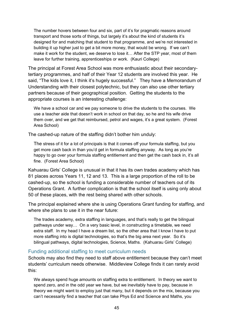The number hovers between four and six, part of it's for pragmatic reasons around transport and those sorts of things, but largely it's about the kind of students it's designed for and matching that student to that programme, and we're not interested in building it up higher just to get a bit more money, that would be wrong. If we can't make it work for the student, we deserve to lose it… After the STP year, most of them leave for further training, apprenticeships or work. (Kauri College)

The principal at Forest Area School was more enthusiastic about their secondarytertiary programmes, and half of their Year 12 students are involved this year. He said, "The kids love it, I think it's hugely successful." They have a Memorandum of Understanding with their closest polytechnic, but they can also use other tertiary partners because of their geographical position. Getting the students to the appropriate courses is an interesting challenge:

We have a school car and we pay someone to drive the students to the courses. We use a teacher aide that doesn't work in school on that day, so he and his wife drive them over, and we get that reimbursed, petrol and wages, it's a great system. (Forest Area School)

The cashed-up nature of the staffing didn't bother him unduly:

The stress of it for a lot of principals is that it comes off your formula staffing, but you get more cash back in than you'd get in formula staffing anyway. As long as you're happy to go over your formula staffing entitlement and then get the cash back in, it's all fine. (Forest Area School)

Kahuarau Girls' College is unusual in that it has its own trades academy which has 81 places across Years 11, 12 and 13. This is a large proportion of the roll to be cashed-up, so the school is funding a considerable number of teachers out of its Operations Grant. A further complication is that the school itself is using only about 50 of these places, with the rest being shared with other schools.

The principal explained where she is using Operations Grant funding for staffing, and where she plans to use it in the near future:

The trades academy, extra staffing in languages, and that's really to get the bilingual pathways under way… On a very basic level, in constructing a timetable, we need extra staff. In my head I have a dream list, so the other area that I know I have to put more staffing into is digital technologies, so that's the big area next year. So it's bilingual pathways, digital technologies, Science, Maths. (Kahuarau Girls' College)

### Funding additional staffing to meet curriculum needs

Schools may also find they need to staff above entitlement because they can't meet students' curriculum needs otherwise. Middleview College finds it can rarely avoid this:

We always spend huge amounts on staffing extra to entitlement. In theory we want to spend zero, and in the odd year we have, but we inevitably have to pay, because in theory we might want to employ just that many, but it depends on the mix, because you can't necessarily find a teacher that can take Phys Ed and Science and Maths, you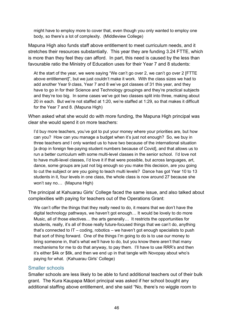might have to employ more to cover that, even though you only wanted to employ one body, so there's a lot of complexity. (Middleview College)

Mapuna High also funds staff above entitlement to meet curriculum needs, and it stretches their resources substantially. This year they are funding 3.24 FTTE, which is more than they feel they can afford. In part, this need is caused by the less than favourable ratio the Ministry of Education uses for their Year 7 and 8 students:

At the start of the year, we were saying "We can't go over 2, we can't go over 2 [FTTE above entitlement]", but we just couldn't make it work. With the class sizes we had to add another Year 9 class, Year 7 and 8 we've got classes of 31 this year, and they have to go in for their Science and Technology groupings and they're practical subjects and they're too big. In some cases we've got two classes split into three, making about 20 in each. But we're not staffed at 1:20, we're staffed at 1:29, so that makes it difficult for the Year 7 and 8. (Mapuna High)

When asked what she would do with more funding, the Mapuna High principal was clear she would spend it on more teachers:

I'd buy more teachers, you've got to put your money where your priorities are, but how can you? How can you manage a budget when it's just not enough? So, we buy in three teachers and I only wanted us to have two because of the international situation [a drop in foreign fee-paying student numbers because of Covid], and that allows us to run a better curriculum with some multi-level classes in the senior school. I'd love not to have multi-level classes, I'd love it if that were possible, but across languages, art, dance, some groups are just not big enough so you make this decision, are you going to cut the subject or are you going to teach multi levels? Dance has got Year 10 to 13 students in it, four levels in one class, the whole class is now around 27 because she won't say no… (Mapuna High)

The principal at Kahuarau Girls' College faced the same issue, and also talked about complexities with paying for teachers out of the Operations Grant:

We can't offer the things that they really need to do, it means that we don't have the digital technology pathways, we haven't got enough… It would be lovely to do more Music, all of those electives… the arts generally… It restricts the opportunities for students, really, it's all of those really future-focused things that we can't do, anything that's connected to IT – coding, robotics – we haven't got enough specialists to push that sort of thing forward. One of the things I'm going to do is to use our money to bring someone in, that's what we'll have to do, but you know there aren't that many mechanisms for me to do that anyway, to pay them. I'll have to use RRR's and then it's either \$4k or \$6k, and then we end up in that tangle with Novopay about who's paying for what. (Kahuarau Girls' College)

#### Smaller schools

Smaller schools are less likely to be able to fund additional teachers out of their bulk grant. The Kura Kaupapa Māori principal was asked if her school bought any additional staffing above entitlement, and she said "No, there's no wiggle room to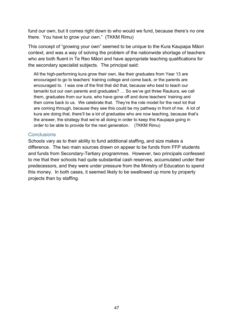fund our own, but it comes right down to who would we fund, because there's no one there. You have to grow your own." (TKKM Rimu)

This concept of "growing your own" seemed to be unique to the Kura Kaupapa Māori context, and was a way of solving the problem of the nationwide shortage of teachers who are both fluent in Te Reo Māori and have appropriate teaching qualifications for the secondary specialist subjects. The principal said:

All the high-performing kura grow their own, like their graduates from Year 13 are encouraged to go to teachers' training college and come back, or the parents are encouraged to. I was one of the first that did that, because who best to teach our tamariki but our own parents and graduates? … So we've got three Raukura, we call them, graduates from our kura, who have gone off and done teachers' training and then come back to us. We celebrate that. They're the role model for the next lot that are coming through, because they see this could be my pathway in front of me. A lot of kura are doing that, there'll be a lot of graduates who are now teaching, because that's the answer, the strategy that we're all doing in order to keep this Kaupapa going in order to be able to provide for the next generation. (TKKM Rimu)

#### **Conclusions**

Schools vary as to their ability to fund additional staffing, and size makes a difference. The two main sources drawn on appear to be funds from FFP students and funds from Secondary-Tertiary programmes. However, two principals confessed to me that their schools had quite substantial cash reserves, accumulated under their predecessors, and they were under pressure from the Ministry of Education to spend this money. In both cases, it seemed likely to be swallowed up more by property projects than by staffing.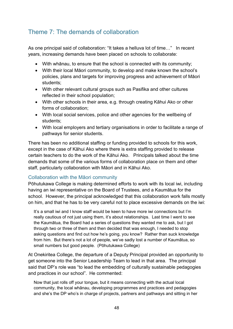# Theme 7: The demands of collaboration

As one principal said of collaboration: "It takes a helluva lot of time…" In recent years, increasing demands have been placed on schools to collaborate:

- With whānau, to ensure that the school is connected with its community;
- With their local Māori community, to develop and make known the school's policies, plans and targets for improving progress and achievement of Māori students;
- With other relevant cultural groups such as Pasifika and other cultures reflected in their school population;
- With other schools in their area, e.g. through creating Kāhui Ako or other forms of collaboration;
- With local social services, police and other agencies for the wellbeing of students;
- With local employers and tertiary organisations in order to facilitate a range of pathways for senior students.

There has been no additional staffing or funding provided to schools for this work, except in the case of Kāhui Ako where there is extra staffing provided to release certain teachers to do the work of the Kāhui Ako. Principals talked about the time demands that some of the various forms of collaboration place on them and other staff, particularly collaboration with Māori and in Kāhui Ako.

## Collaboration with the Māori community

Pōhutukawa College is making determined efforts to work with its local iwi, including having an iwi representative on the Board of Trustees, and a Kaumātua for the school. However, the principal acknowledged that this collaboration work falls mostly on him, and that he has to be very careful not to place excessive demands on the iwi:

It's a small iwi and I know staff would be keen to have more iwi connections but I'm really cautious of not just using them, it's about relationships. Last time I went to see the Kaumātua, the Board had a series of questions they wanted me to ask, but I got through two or three of them and then decided that was enough, I needed to stop asking questions and find out how he's going, you know? Rather than suck knowledge from him. But there's not a lot of people, we've sadly lost a number of Kaumātua, so small numbers but good people. (Pōhutukawa College)

At Onekiritea College, the departure of a Deputy Principal provided an opportunity to get someone into the Senior Leadership Team to lead in that area. The principal said that DP's role was "to lead the embedding of culturally sustainable pedagogies and practices in our school". He commented:

Now that just rolls off your tongue, but it means connecting with the actual local community, the local whānau, developing programmes and practices and pedagogies and she's the DP who's in charge of projects, partners and pathways and sitting in her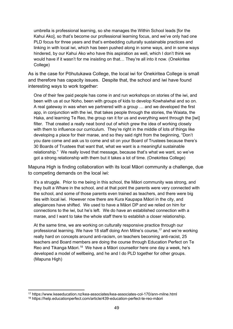umbrella is professional learning, so she manages the Within School leads [for the Kahui Ako], so that's become our professional learning focus, and we've only had one PLD focus for three years and that's embedding culturally sustainable practices and linking in with local iwi, which has been pushed along in some ways, and in some ways hindered, by our Kahui Ako who have this aspiration as well, which I don't think we would have if it wasn't for me insisting on that… They're all into it now. (Onekiritea College)

As is the case for Pōhutukawa College, the local iwi for Onekiritea College is small and therefore has capacity issues. Despite that, the school and iwi have found interesting ways to work together:

One of their few paid people has come in and run workshops on stories of the iwi, and been with us at our Noho, been with groups of kids to develop Kowhaiwhai and so on. A real gateway in was when we partnered with a group … and we developed the first app, in conjunction with the iwi, that takes people through the stories, the Waiata, the Haka, and learning Te Reo, the group ran it for us and everything went through the [iwi] filter. That created a really neat bond out of which grew the idea of working closely with them to influence our curriculum. They're right in the middle of lots of things like developing a place for their marae, and so they said right from the beginning, "Don't you dare come and ask us to come and sit on your Board of Trustees because there's 30 Boards of Trustees that want that, what we want is a meaningful sustainable relationship." We really loved that message, because that's what we want, so we've got a strong relationship with them but it takes a lot of time. (Onekiritea College)

Mapuna High is finding collaboration with its local Māori community a challenge, due to competing demands on the local iwi:

It's a struggle. Prior to me being in this school, the Māori community was strong, and they built a Whare in the school, and at that point the parents were very connected with the school, and some of those parents even trained as teachers, and there were big ties with local iwi. However now there are Kura Kaupapa Māori in the city, and allegiances have shifted. We used to have a Māori DP and we relied on him for connections to the iwi, but he's left. We do have an established connection with a marae, and I want to take the whole staff there to establish a closer relationship.

At the same time, we are working on culturally responsive practice through our professional learning. We have 18 staff doing Ann Milne's course,[17](#page-60-0) and we're working really hard on concepts around anti-racism, on teachers becoming anti-racist, 25 teachers and Board members are doing the course through Education Perfect on Te Reo and Tikanga Māori.<sup>18</sup> We have a Māori counsellor here one day a week, he's developed a model of wellbeing, and he and I do PLD together for other groups. (Mapuna High)

<span id="page-60-0"></span><sup>17</sup> https://www.keaeducation.nz/kea-associates/kea-associates-col-170/ann-milne.html

<span id="page-60-1"></span><sup>18</sup> https://help.educationperfect.com/article/439-education-perfect-te-reo-māori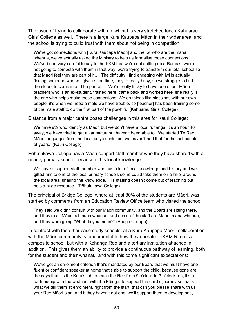The issue of trying to collaborate with an iwi that is very stretched faces Kahuarau Girls' College as well. There is a large Kura Kaupapa Māori in their wider area, and the school is trying to build trust with them about not being in competition:

We've got connections with [Kura Kaupapa Māori] and the iwi who are the mana whenua, we've actually asked the Ministry to help us formalise those connections. We've been very careful to say to the KKM that we're not setting up a Rumaki, we're not going to compete with them in that way, we're trying to transform our total school so that Maori feel they are part of it… The difficulty I find engaging with iwi is actually finding someone who will give us the time, they're really busy, so we struggle to find the elders to come in and be part of it. We're really lucky to have one of our Māori teachers who is an ex-student, trained here, came back and worked here, she really is the one who helps make those connections. We do things like blessings with our own people, it's when we need a male we have trouble, so [teacher] has been training some of the male staff to do the first part of the powhiri. (Kahuarau Girls' College)

Distance from a major centre poses challenges in this area for Kauri College:

We have 9% who identify as Māori but we don't have a local rūnanga, it's an hour 40 away, we have tried to get a kaumatua but haven't been able to. We started Te Reo Māori languages from the local polytechnic, but we haven't had that for the last couple of years. (Kauri College)

Pōhutukawa College has a Māori support staff member who they have shared with a nearby primary school because of his local knowledge:

We have a support staff member who has a lot of local knowledge and history and we gifted him to one of the local primary schools so he could take them on a hikoi around the local area, sharing the knowledge. His staffing doesn't come out of teaching but he's a huge resource. (Pōhutukawa College)

The principal of Bridge College, where at least 80% of the students are Māori, was startled by comments from an Education Review Office team who visited the school:

They said we didn't consult with our Māori community, and the Board are sitting there, and they're all Māori, all mana whenua, and some of the staff are Maori, mana whenua, and they were going "What do you mean?" (Bridge College)

In contrast with the other case study schools, at a Kura Kaupapa Māori, collaboration with the Māori community is fundamental to how they operate. TKKM Rimu is a composite school, but with a Kohanga Reo and a tertiary institution attached in addition. This gives them an ability to provide a continuous pathway of learning, both for the student and their whānau, and with this come significant expectations:

We've got an enrolment criterion that's mandated by our Board that we must have one fluent or confident speaker at home that's able to support the child, because gone are the days that it's the Kura's job to teach the Reo from 9 o'clock to 3 o'clock, no, it's a partnership with the whānau, with the Kāinga, to support the child's journey so that's what we tell them at enrolment, right from the start, that can you please share with us your Reo Māori plan, and if they haven't got one, we'll support them to develop one,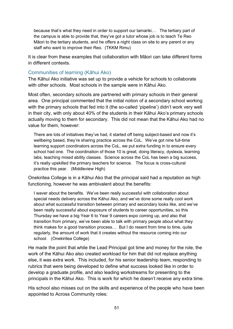because that's what they need in order to support our tamariki… The tertiary part of the campus is able to provide that, they've got a tutor whose job is to teach Te Reo Māori to the tertiary students, and he offers a night class on site to any parent or any staff who want to improve their Reo. (TKKM Rimu)

It is clear from these examples that collaboration with Māori can take different forms in different contexts.

## Communities of learning (Kāhui Ako)

The Kāhui Ako initiative was set up to provide a vehicle for schools to collaborate with other schools. Most schools in the sample were in Kāhui Ako.

Most often, secondary schools are partnered with primary schools in their general area. One principal commented that the initial notion of a secondary school working with the primary schools that fed into it (the so-called 'pipeline') didn't work very well in their city, with only about 40% of the students in their Kāhui Ako's primary schools actually moving to them for secondary. This did not mean that the Kāhui Ako had no value for them, however:

There are lots of initiatives they've had, it started off being subject-based and now it's wellbeing based, they're sharing practice across the CoL. We've got nine full-time learning support coordinators across the CoL, we put extra funding in to ensure every school had one. The coordination of those 10 is great, doing literacy, dyslexia, learning labs, teaching mixed ability classes. Science across the CoL has been a big success, it's really upskilled the primary teachers for science. The focus is cross-cultural practice this year. (Middleview High)

Onekiritea College is in a Kāhui Ako that the principal said had a reputation as high functioning, however he was ambivalent about the benefits:

I waver about the benefits. We've been really successful with collaboration about special needs delivery across the Kāhui Ako, and we've done some really cool work about what successful transition between primary and secondary looks like, and we've been really successful about exposure of students to career opportunities, so this Thursday we have a big Year 6 to Year 9 careers expo coming up, and also that transition from primary, we've been able to talk with primary people about what they think makes for a good transition process… But I do resent from time to time, quite regularly, the amount of work that it creates without the resource coming into our school. (Onekiritea College)

He made the point that while the Lead Principal got time and money for the role, the work of the Kāhui Ako also created workload for him that did not replace anything else, it was extra work. This included, for his senior leadership team, responding to rubrics that were being developed to define what success looked like in order to develop a graduate profile, and also leading workstreams for presenting to the principals in the Kāhui Ako. This is work for which he doesn't receive any extra time.

His school also misses out on the skills and experience of the people who have been appointed to Across Community roles: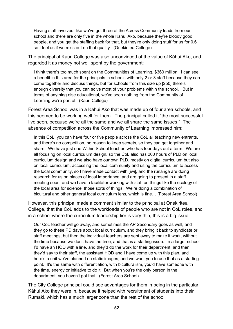Having staff involved, like we've got three of the Across Community leads from our school and there are only five in the whole Kāhui Ako, because they're bloody good people, and you get the staffing back for that, but they're only doing stuff for us for 0.6 so I feel as if we miss out on that quality. (Onekiritea College)

The principal of Kauri College was also unconvinced of the value of Kāhui Ako, and regarded it as money not well spent by the government:

I think there's too much spent on the Communities of Learning, \$360 million. I can see a benefit in this area for the principals in schools with only 2 or 3 staff because they can come together and discuss things, but for schools from this size up [250] there's enough diversity that you can solve most of your problems within the school. But in terms of anything else educational, we've seen nothing from the Community of Learning we're part of. (Kauri College)

Forest Area School was in a Kāhui Ako that was made up of four area schools, and this seemed to be working well for them. The principal called it "the most successful I've seen, because we're all the same and we all share the same issues." The absence of competition across the Community of Learning impressed him:

In this CoL, you can have four or five people across the CoL all teaching new entrants, and there's no competition, no reason to keep secrets, so they can get together and share. We have just one Within School teacher, who has four days out a term. We are all focusing on local curriculum design, so the CoL also has 200 hours of PLD on local curriculum design and we also have our own PLD, mostly on digital curriculum but also on local curriculum, accessing the local community and using the curriculum to access the local community, so I have made contact with [iwi], and the rūnanga are doing research for us on places of local importance, and are going to present in a staff meeting soon, and we have a facilitator working with staff on things like the ecology of the local area for science, those sorts of things. We're doing a combination of bicultural and other general local curriculum lens, which is fine… (Forest Area School)

However, this principal made a comment similar to the principal at Onekiritea College, that the CoL adds to the workloads of people who are not in CoL roles, and in a school where the curriculum leadership tier is very thin, this is a big issue:

Our CoL teacher will go away, and sometimes the AP Secondary goes as well, and they go to these PD days about local curriculum, and they bring it back to syndicate or staff meetings, but then the individual teachers are sent away to make it work, without the time because we don't have the time, and that is a staffing issue. In a larger school I'd have an HOD with a line, and they'd do the work for their department, and then they'd say to their staff, the assistant HOD and I have come up with this plan, and here's a unit we've planned on static images, and we want you to use that as a starting point. It's the same with differentiation, with biculturalism, you'd have someone with the time, energy or initiative to do it. But when you're the only person in the department, you haven't got that. (Forest Area School)

The City College principal could see advantages for them in being in the particular Kāhui Ako they were in, because it helped with recruitment of students into their Rumaki, which has a much larger zone than the rest of the school: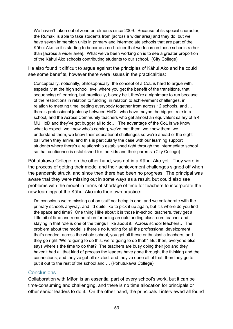We haven't taken out of zone enrolments since 2009. Because of its special character, the Rumaki is able to take students from [across a wider area] and they do, but we have seven immersion units in primary and intermediate schools that are part of the Kāhui Ako so it's starting to become a no-brainer that we focus on those schools rather than [across a wider area]. What we've been working on is to see a greater proportion of the Kāhui Ako schools contributing students to our school. (City College)

He also found it difficult to argue against the principles of Kāhui Ako and he could see some benefits, however there were issues in the practicalities:

Conceptually, notionally, philosophically, the concept of a CoL is hard to argue with, especially at the high school level where you get the benefit of the transitions, that sequencing of learning, but practically, bloody hell, they're a nightmare to run because of the restrictions in relation to funding, in relation to achievement challenges, in relation to meeting time, getting everybody together from across 12 schools, and ... there's professional jealousy between HoDs, who have maybe the biggest role in a school, and the Across Community teachers who get almost an equivalent salary of a 4 MU HoD and they've got bugger all to do… The advantage of the CoL is we know what to expect, we know who's coming, we've met them, we know them, we understand them, we know their educational challenges so we're ahead of the eight ball when they arrive, and this is particularly the case with our learning support students where there's a relationship established right through the intermediate school so that confidence is established for the kids and their parents. (City College)

Pōhutukawa College, on the other hand, was not in a Kāhui Ako yet. They were in the process of getting their model and their achievement challenges signed off when the pandemic struck, and since then there had been no progress. The principal was aware that they were missing out in some ways as a result, but could also see problems with the model in terms of shortage of time for teachers to incorporate the new learnings of the Kāhui Ako into their own practice:

I'm conscious we're missing out on stuff not being in one, and we collaborate with the primary schools anyway, and I'd quite like to pick it up again, but it's where do you find the space and time? One thing I like about it is those in-school teachers, they get a little bit of time and remuneration for being an outstanding classroom teacher and staying in that role is one of the things I like about it. Across school teachers… The problem about the model is there's no funding for all the professional development that's needed, across the whole school, you get all these enthusiastic teachers, and they go right "We're going to do this, we're going to do that!" But then, everyone else says where's the time to do that? The teachers are busy doing their job and they haven't had all that kind of process the leaders have gone through, the thinking and the connections, and they've got all excited, and they've done all of that, then they go to put it out to the rest of the school and … (Pōhutukawa College)

#### **Conclusions**

Collaboration with Māori is an essential part of every school's work, but it can be time-consuming and challenging, and there is no time allocation for principals or other senior leaders to do it. On the other hand, the principals I interviewed all found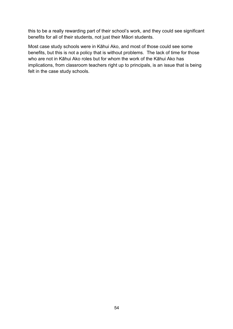this to be a really rewarding part of their school's work, and they could see significant benefits for all of their students, not just their Māori students.

Most case study schools were in Kāhui Ako, and most of those could see some benefits, but this is not a policy that is without problems. The lack of time for those who are not in Kāhui Ako roles but for whom the work of the Kāhui Ako has implications, from classroom teachers right up to principals, is an issue that is being felt in the case study schools.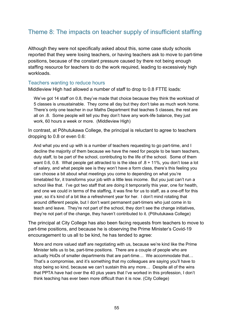## Theme 8: The impacts on teacher supply of insufficient staffing

Although they were not specifically asked about this, some case study schools reported that they were losing teachers, or having teachers ask to move to part-time positions, because of the constant pressure caused by there not being enough staffing resource for teachers to do the work required, leading to excessively high workloads.

#### Teachers wanting to reduce hours

Middleview High had allowed a number of staff to drop to 0.8 FTTE loads:

We've got 14 staff on 0.8, they've made that choice because they think the workload of 5 classes is unsustainable. They come all day but they don't take as much work home. There's only one teacher in our Maths Department that teaches 5 classes, the rest are all on .8. Some people will tell you they don't have any work-life balance, they just work, 60 hours a week or more. (Middleview High)

In contrast, at Pōhutukawa College, the principal is reluctant to agree to teachers dropping to 0.8 or even 0.6:

And what you end up with is a number of teachers requesting to go part-time, and I decline the majority of them because we have the need for people to be team teachers, duty staff, to be part of the school, contributing to the life of the school. Some of them want 0.6, 0.8. What people get attracted to is the idea of  $.8 + 11\%$ , you don't lose a lot of salary, and what people see is they won't have a form class, there's this feeling you can choose a bit about what meetings you come to depending on what you're timetabled for, it transforms your job with a little less income. But you just can't run a school like that. I've got two staff that are doing it temporarily this year, one for health, and one we could in terms of the staffing, it was fine for us to staff, as a one-off for this year, so it's kind of a bit like a refreshment year for her. I don't mind rotating that around different people, but I don't want permanent part-timers who just come in to teach and leave. They're not part of the school, they don't see the change initiatives, they're not part of the change, they haven't contributed to it. (Pōhutukawa College)

The principal at City College has also been facing requests from teachers to move to part-time positions, and because he is observing the Prime Minister's Covid-19 encouragement to us all to be kind, he has tended to agree:

More and more valued staff are negotiating with us, because we're kind like the Prime Minister tells us to be, part-time positions. There are a couple of people who are actually HoDs of smaller departments that are part-time… We accommodate that… That's a compromise, and it's something that my colleagues are saying you'll have to stop being so kind, because we can't sustain this any more… Despite all of the wins that PPTA have had over the 40 plus years that I've worked in this profession, I don't think teaching has ever been more difficult than it is now. (City College)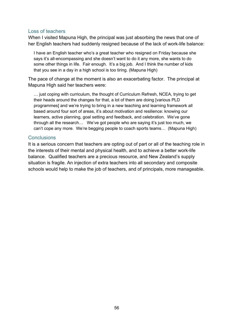#### Loss of teachers

When I visited Mapuna High, the principal was just absorbing the news that one of her English teachers had suddenly resigned because of the lack of work-life balance:

I have an English teacher who's a great teacher who resigned on Friday because she says it's all-encompassing and she doesn't want to do it any more, she wants to do some other things in life. Fair enough. It's a big job. And I think the number of kids that you see in a day in a high school is too tiring. (Mapuna High)

The pace of change at the moment is also an exacerbating factor. The principal at Mapuna High said her teachers were:

… just coping with curriculum, the thought of Curriculum Refresh, NCEA, trying to get their heads around the changes for that, a lot of them are doing [various PLD programmes] and we're trying to bring in a new teaching and learning framework all based around four sort of areas, it's about motivation and resilience: knowing our learners, active planning, goal setting and feedback, and celebration. We've gone through all the research… We've got people who are saying it's just too much, we can't cope any more. We're begging people to coach sports teams… (Mapuna High)

#### **Conclusions**

It is a serious concern that teachers are opting out of part or all of the teaching role in the interests of their mental and physical health, and to achieve a better work-life balance. Qualified teachers are a precious resource, and New Zealand's supply situation is fragile. An injection of extra teachers into all secondary and composite schools would help to make the job of teachers, and of principals, more manageable.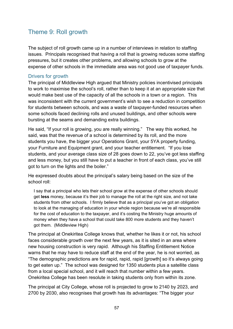## Theme 9: Roll growth

The subject of roll growth came up in a number of interviews in relation to staffing issues. Principals recognised that having a roll that is growing reduces some staffing pressures, but it creates other problems, and allowing schools to grow at the expense of other schools in the immediate area was not good use of taxpayer funds.

### Drivers for growth

The principal of Middleview High argued that Ministry policies incentivised principals to work to maximise the school's roll, rather than to keep it at an appropriate size that would make best use of the capacity of all the schools in a town or a region. This was inconsistent with the current government's wish to see a reduction in competition for students between schools, and was a waste of taxpayer-funded resources when some schools faced declining rolls and unused buildings, and other schools were bursting at the seams and demanding extra buildings.

He said, "If your roll is growing, you are really winning." The way this worked, he said, was that the revenue of a school is determined by its roll, and the more students you have, the bigger your Operations Grant, your 5YA property funding, your Furniture and Equipment grant, and your teacher entitlement. "If you lose students, and your average class size of 28 goes down to 22, you've got less staffing and less money, but you still have to put a teacher in front of each class, you've still got to turn on the lights and the boiler."

He expressed doubts about the principal's salary being based on the size of the school roll:

I say that a principal who lets their school grow at the expense of other schools should get **less** money, because it's their job to manage the roll at the right size, and not take students from other schools. I firmly believe that as a principal you've got an obligation to look at the managing of education in your whole region because we're all responsible for the cost of education to the taxpayer, and it's costing the Ministry huge amounts of money when they have a school that could take 800 more students and they haven't got them. (Middleview High)

The principal at Onekiritea College knows that, whether he likes it or not, his school faces considerable growth over the next few years, as it is sited in an area where new housing construction is very rapid. Although his Staffing Entitlement Notice warns that he may have to reduce staff at the end of the year, he is not worried, as "The demographic predictions are for rapid, rapid, rapid [growth] so it's always going to get eaten up." The school was designed for 1350 students plus a satellite class from a local special school, and it will reach that number within a few years. Onekiritea College has been resolute in taking students only from within its zone.

The principal at City College, whose roll is projected to grow to 2140 by 2023, and 2700 by 2030, also recognises that growth has its advantages: "The bigger your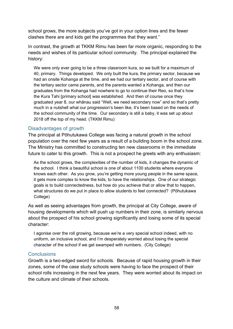school grows, the more subjects you've got in your option lines and the fewer clashes there are and kids get the programmes that they want."

In contrast, the growth at TKKM Rimu has been far more organic, responding to the needs and wishes of its particular school community. The principal explained the history:

We were only ever going to be a three classroom kura, so we built for a maximum of 40, primary. Things developed. We only built the kura, the primary sector, because we had an onsite Kohanga at the time, and we had our tertiary sector, and of course with the tertiary sector came parents, and the parents wanted a Kohanga, and then our graduates from the Kohanga had nowhere to go to continue their Reo, so that's how the Kura Tahi [primary school] was established. And then of course once they graduated year 8, our whānau said "Well, we need secondary now" and so that's pretty much in a nutshell what our progression's been like, it's been based on the needs of the school community of the time. Our secondary is still a baby, it was set up about 2018 off the top of my head. (TKKM Rimu)

### Disadvantages of growth

The principal at Pōhutukawa College was facing a natural growth in the school population over the next few years as a result of a building boom in the school zone. The Ministry has committed to constructing ten new classrooms in the immediate future to cater to this growth. This is not a prospect he greets with any enthusiasm:

As the school grows, the complexities of the number of kids, it changes the dynamic of the school. I think a beautiful school is one of about 1100 students where everyone knows each other. As you grow, you're getting more young people in the same space, it gets more complex to know the kids, to have the relationships. One of our strategic goals is to build connectedness, but how do you achieve that or allow that to happen, what structures do we put in place to allow students to feel connected? (Pōhutukawa College)

As well as seeing advantages from growth, the principal at City College, aware of housing developments which will push up numbers in their zone, is similarly nervous about the prospect of his school growing significantly and losing some of its special character:

I agonise over the roll growing, because we're a very special school indeed, with no uniform, an inclusive school, and I'm desperately worried about losing the special character of the school if we get swamped with numbers. (City College)

### **Conclusions**

Growth is a two-edged sword for schools. Because of rapid housing growth in their zones, some of the case study schools were having to face the prospect of their school rolls increasing in the next few years. They were worried about its impact on the culture and climate of their schools.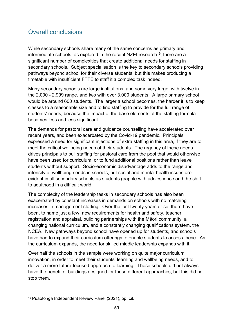## Overall conclusions

While secondary schools share many of the same concerns as primary and intermediate schools, as explored in the recent NZEI research<sup>[19](#page-70-0)</sup>, there are a significant number of complexities that create additional needs for staffing in secondary schools. Subject specialisation is the key to secondary schools providing pathways beyond school for their diverse students, but this makes producing a timetable with insufficient FTTE to staff it a complex task indeed.

Many secondary schools are large institutions, and some very large, with twelve in the 2,000 - 2,999 range, and two with over 3,000 students. A large primary school would be around 600 students. The larger a school becomes, the harder it is to keep classes to a reasonable size and to find staffing to provide for the full range of students' needs, because the impact of the base elements of the staffing formula becomes less and less significant.

The demands for pastoral care and guidance counselling have accelerated over recent years, and been exacerbated by the Covid-19 pandemic. Principals expressed a need for significant injections of extra staffing in this area, if they are to meet the critical wellbeing needs of their students. The urgency of these needs drives principals to pull staffing for pastoral care from the pool that would otherwise have been used for curriculum, or to fund additional positions rather than leave students without support. Socio-economic disadvantage adds to the range and intensity of wellbeing needs in schools, but social and mental health issues are evident in all secondary schools as students grapple with adolescence and the shift to adulthood in a difficult world.

The complexity of the leadership tasks in secondary schools has also been exacerbated by constant increases in demands on schools with no matching increases in management staffing. Over the last twenty years or so, there have been, to name just a few, new requirements for health and safety, teacher registration and appraisal, building partnerships with the Māori community, a changing national curriculum, and a constantly changing qualifications system, the NCEA. New pathways beyond school have opened up for students, and schools have had to expand their curriculum offerings to enable students to access these. As the curriculum expands, the need for skilled middle leadership expands with it.

Over half the schools in the sample were working on quite major curriculum innovation, in order to meet their students' learning and wellbeing needs, and to deliver a more future-focused approach to learning. These schools did not always have the benefit of buildings designed for these different approaches, but this did not stop them.

<span id="page-70-0"></span><sup>19</sup> Pūaotonga Independent Review Panel (2021), op. cit.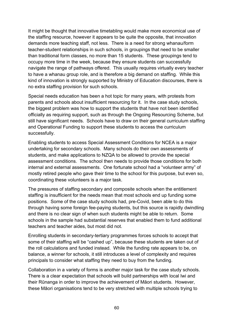It might be thought that innovative timetabling would make more economical use of the staffing resource, however it appears to be quite the opposite, that innovation demands more teaching staff, not less. There is a need for strong whanau/form teacher-student relationships in such schools, in groupings that need to be smaller than traditional form classes, no more than 15 students. These groupings tend to occupy more time in the week, because they ensure students can successfully navigate the range of pathways offered. This usually requires virtually every teacher to have a whanau group role, and is therefore a big demand on staffing. While this kind of innovation is strongly supported by Ministry of Education discourses, there is no extra staffing provision for such schools.

Special needs education has been a hot topic for many years, with protests from parents and schools about insufficient resourcing for it. In the case study schools, the biggest problem was how to support the students that have not been identified officially as requiring support, such as through the Ongoing Resourcing Scheme, but still have significant needs. Schools have to draw on their general curriculum staffing and Operational Funding to support these students to access the curriculum successfully.

Enabling students to access Special Assessment Conditions for NCEA is a major undertaking for secondary schools. Many schools do their own assessments of students, and make applications to NZQA to be allowed to provide the special assessment conditions. The school then needs to provide those conditions for both internal and external assessments. One fortunate school had a "volunteer army" of mostly retired people who gave their time to the school for this purpose, but even so, coordinating these volunteers is a major task.

The pressures of staffing secondary and composite schools when the entitlement staffing is insufficient for the needs mean that most schools end up funding some positions. Some of the case study schools had, pre-Covid, been able to do this through having some foreign fee-paying students, but this source is rapidly dwindling and there is no clear sign of when such students might be able to return. Some schools in the sample had substantial reserves that enabled them to fund additional teachers and teacher aides, but most did not.

Enrolling students in secondary-tertiary programmes forces schools to accept that some of their staffing will be "cashed up", because these students are taken out of the roll calculations and funded instead. While the funding rate appears to be, on balance, a winner for schools, it still introduces a level of complexity and requires principals to consider what staffing they need to buy from the funding.

Collaboration in a variety of forms is another major task for the case study schools. There is a clear expectation that schools will build partnerships with local Iwi and their Rūnanga in order to improve the achievement of Māori students. However, these Māori organisations tend to be very stretched with multiple schools trying to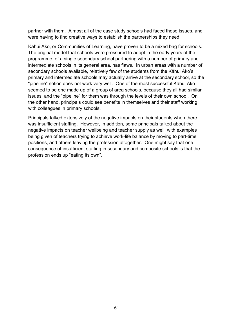partner with them. Almost all of the case study schools had faced these issues, and were having to find creative ways to establish the partnerships they need.

Kāhui Ako, or Communities of Learning, have proven to be a mixed bag for schools. The original model that schools were pressured to adopt in the early years of the programme, of a single secondary school partnering with a number of primary and intermediate schools in its general area, has flaws. In urban areas with a number of secondary schools available, relatively few of the students from the Kāhui Ako's primary and intermediate schools may actually arrive at the secondary school, so the "pipeline" notion does not work very well. One of the most successful Kāhui Ako seemed to be one made up of a group of area schools, because they all had similar issues, and the "pipeline" for them was through the levels of their own school. On the other hand, principals could see benefits in themselves and their staff working with colleagues in primary schools.

Principals talked extensively of the negative impacts on their students when there was insufficient staffing. However, in addition, some principals talked about the negative impacts on teacher wellbeing and teacher supply as well, with examples being given of teachers trying to achieve work-life balance by moving to part-time positions, and others leaving the profession altogether. One might say that one consequence of insufficient staffing in secondary and composite schools is that the profession ends up "eating its own".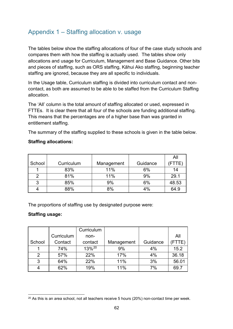## Appendix 1 – Staffing allocation v. usage

The tables below show the staffing allocations of four of the case study schools and compares them with how the staffing is actually used. The tables show only allocations and usage for Curriculum, Management and Base Guidance. Other bits and pieces of staffing, such as ORS staffing, Kāhui Ako staffing, beginning teacher staffing are ignored, because they are all specific to individuals.

In the Usage table, Curriculum staffing is divided into curriculum contact and noncontact, as both are assumed to be able to be staffed from the Curriculum Staffing allocation.

The 'All' column is the total amount of staffing allocated or used, expressed in FTTEs. It is clear there that all four of the schools are funding additional staffing. This means that the percentages are of a higher base than was granted in entitlement staffing.

The summary of the staffing supplied to these schools is given in the table below.

## **Staffing allocations:**

|        |            |            |          | All   |
|--------|------------|------------|----------|-------|
| School | Curriculum | Management | Guidance |       |
|        | 83%        | 11%        | 6%       | 14    |
| 2      | 81%        | 11%        | 9%       | 29.1  |
| 3      | 85%        | 9%         | 6%       | 48.53 |
| 4      | 88%        | 8%         | 4%       | 64.9  |

The proportions of staffing use by designated purpose were:

## **Staffing usage:**

|               |            | Curriculum        |            |          |       |
|---------------|------------|-------------------|------------|----------|-------|
|               | Curriculum | non-              |            |          | All   |
| School        | Contact    | contact           | Management | Guidance | FTTE) |
|               | 74%        | 13% <sup>20</sup> | 9%         | 4%       | 15.2  |
| $\mathcal{P}$ | 57%        | 22%               | 17%        | 4%       | 36.18 |
| 3             | 64%        | 22%               | 11%        | 3%       | 56.01 |
| 4             | 62%        | 19%               | 11%        | 7%       | 69.7  |

<span id="page-73-0"></span> $20$  As this is an area school, not all teachers receive 5 hours (20%) non-contact time per week.